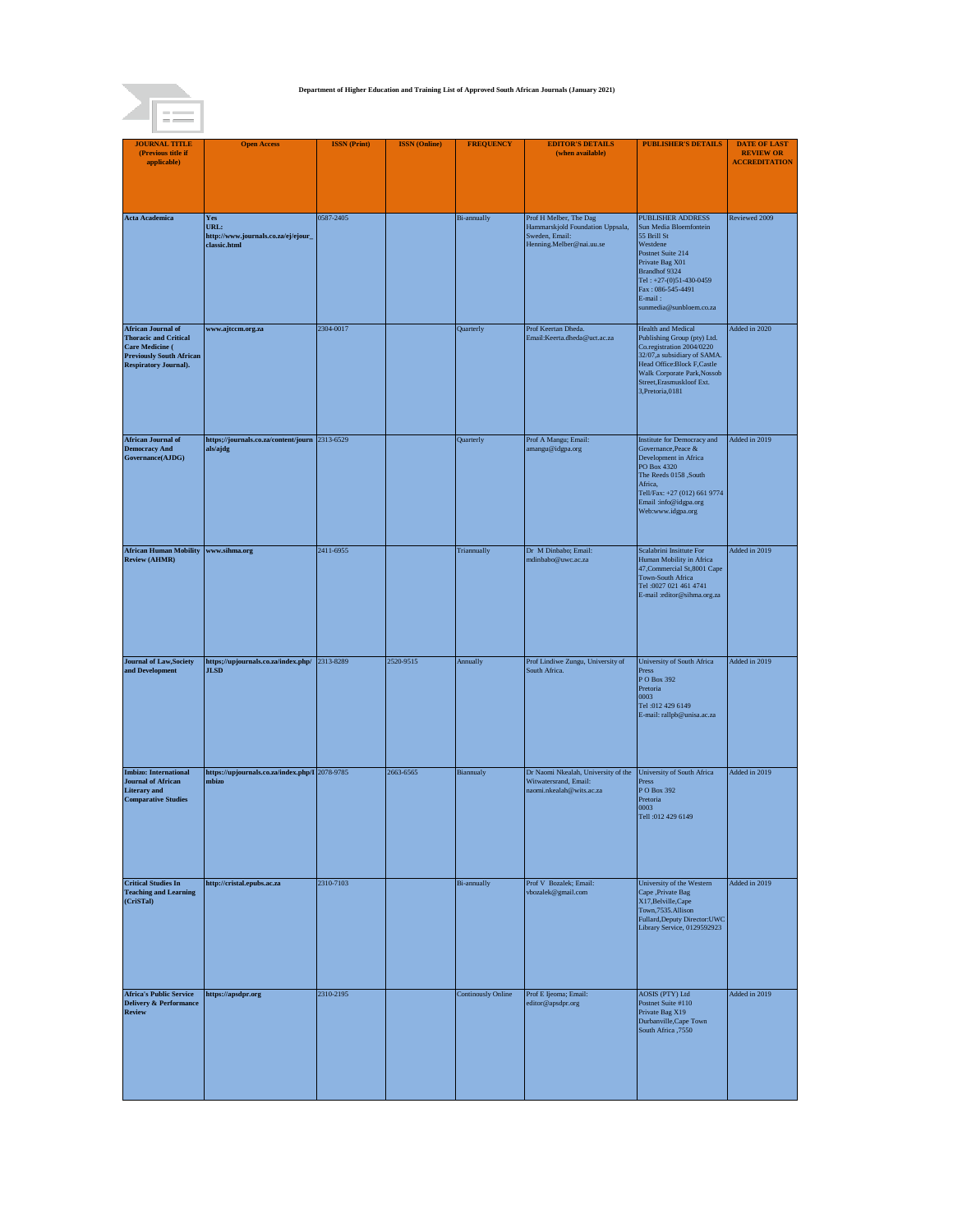

| <b>JOURNAL TITLE</b><br>(Previous title if                                                                                                             | <b>Open Access</b>                                                 | <b>ISSN</b> (Print) | <b>ISSN</b> (Online) | <b>FREQUENCY</b>          | <b>EDITOR'S DETAILS</b><br>(when available)                                                                         | <b>PUBLISHER'S DETAILS</b>                                                                                                                                                                                                           | <b>DATE OF LAST</b><br><b>REVIEW OR</b> |
|--------------------------------------------------------------------------------------------------------------------------------------------------------|--------------------------------------------------------------------|---------------------|----------------------|---------------------------|---------------------------------------------------------------------------------------------------------------------|--------------------------------------------------------------------------------------------------------------------------------------------------------------------------------------------------------------------------------------|-----------------------------------------|
| applicable)                                                                                                                                            |                                                                    |                     |                      |                           |                                                                                                                     |                                                                                                                                                                                                                                      | <b>ACCREDITATION</b>                    |
|                                                                                                                                                        |                                                                    |                     |                      |                           |                                                                                                                     |                                                                                                                                                                                                                                      |                                         |
|                                                                                                                                                        |                                                                    |                     |                      |                           |                                                                                                                     |                                                                                                                                                                                                                                      |                                         |
| <b>Acta Academica</b>                                                                                                                                  | Yes<br>URL:<br>http://www.journals.co.za/ej/ejour_<br>classic.html | 0587-2405           |                      | <b>Bi-annually</b>        | Prof H Melber, The Dag<br>Hammarskjold Foundation Uppsala,<br>Sweden, Email:<br>Henning.Melber@nai.uu.se            | PUBLISHER ADDRESS<br>Sun Media Bloemfontein<br>55 Brill St<br>Westdene<br>Postnet Suite 214<br>Private Bag X01<br>Brandhof 9324<br>Tel: +27-(0)51-430-0459<br>Fax: 086-545-4491<br>E-mail:<br>sunmedia@sunbloem.co.za                | Reviewed 2009                           |
| <b>African Journal of</b><br><b>Thoracic and Critical</b><br><b>Care Medicine (</b><br><b>Previously South African</b><br><b>Respiratory Journal).</b> | www.ajtccm.org.za                                                  | 2304-0017           |                      | Quarterly                 | Prof Keertan Dheda.<br>Email:Keerta.dheda@uct.ac.za                                                                 | <b>Health and Medical</b><br>Publishing Group (pty) Ltd.<br>Co.registration 2004/0220<br>32/07, a subsidiary of SAMA.<br>Head Office:Block F,Castle<br>Walk Corporate Park, Nossob<br>Street, Erasmuskloof Ext.<br>3, Pretoria, 0181 | Added in 2020                           |
| <b>African Journal of</b><br><b>Democracy And</b><br>Governance(AJDG)                                                                                  | https;//journals.co.za/content/journ 2313-6529<br>als/ajdg         |                     |                      | Quarterly                 | Prof A Mangu; Email:<br>amangu@idgpa.org                                                                            | Institute for Democracy and<br>Governance, Peace &<br>Development in Africa<br>PO Box 4320<br>The Reeds 0158 ,South<br>Africa,<br>Tell/Fax: +27 (012) 661 9774<br>Email:info@idgpa.org<br>Web:www.idgpa.org                          | Added in 2019                           |
| <b>African Human Mobility</b><br><b>Review (AHMR)</b>                                                                                                  | www.sihma.org                                                      | 2411-6955           |                      | Triannually               | Dr M Dinbabo; Email:<br>mdinbabo@uwc.ac.za                                                                          | Scalabrini Insittute For<br>Human Mobility in Africa<br>47, Commercial St, 8001 Cape<br><b>Town-South Africa</b><br>Tel: 0027 021 461 4741<br>E-mail :editor@sihma.org.za                                                            | Added in 2019                           |
| <b>Journal of Law, Society</b><br>and Development                                                                                                      | https;//upjournals.co.za/index.php/ 2313-8289<br><b>JLSD</b>       |                     | 2520-9515            | Annually                  | Prof Lindiwe Zungu, University of<br>South Africa.                                                                  | University of South Africa<br>Press<br>P O Box 392<br>Pretoria<br>0003<br>Tel:012 429 6149<br>E-mail: rallpb@unisa.ac.za                                                                                                             | Added in 2019                           |
| <b>Imbizo:</b> International<br><b>Journal of African</b><br><b>Literary</b> and<br><b>Comparative Studies</b>                                         | https://upjournals.co.za/index.php/I 2078-9785<br>mbizo            |                     | 2663-6565            | Biannualy                 | Dr Naomi Nkealah, University of the University of South Africa<br>Witwatersrand, Email:<br>naomi.nkealah@wits.ac.za | Press<br>P O Box 392<br>Pretoria<br>0003<br>Tell:012 429 6149                                                                                                                                                                        | Added in 2019                           |
| <b>Critical Studies In</b><br><b>Teaching and Learning</b><br>(CriSTal)                                                                                | http://cristal.epubs.ac.za                                         | 2310-7103           |                      | <b>Bi-annually</b>        | Prof V Bozalek; Email:<br>vbozalek@gmail.com                                                                        | University of the Western<br>Cape ,Private Bag<br>X17, Belville, Cape<br>Town, 7535. Allison<br>Fullard, Deputy Director: UWC<br>Library Service, 0129592923                                                                         | Added in 2019                           |
| <b>Africa's Public Service</b><br><b>Delivery &amp; Performance</b><br>Review                                                                          | https://apsdpr.org                                                 | 2310-2195           |                      | <b>Continously Online</b> | Prof E Ijeoma; Email:<br>editor@apsdpr.org                                                                          | AOSIS (PTY) Ltd<br>Postnet Suite #110<br>Private Bag X19<br>Durbanville, Cape Town<br>South Africa ,7550                                                                                                                             | Added in 2019                           |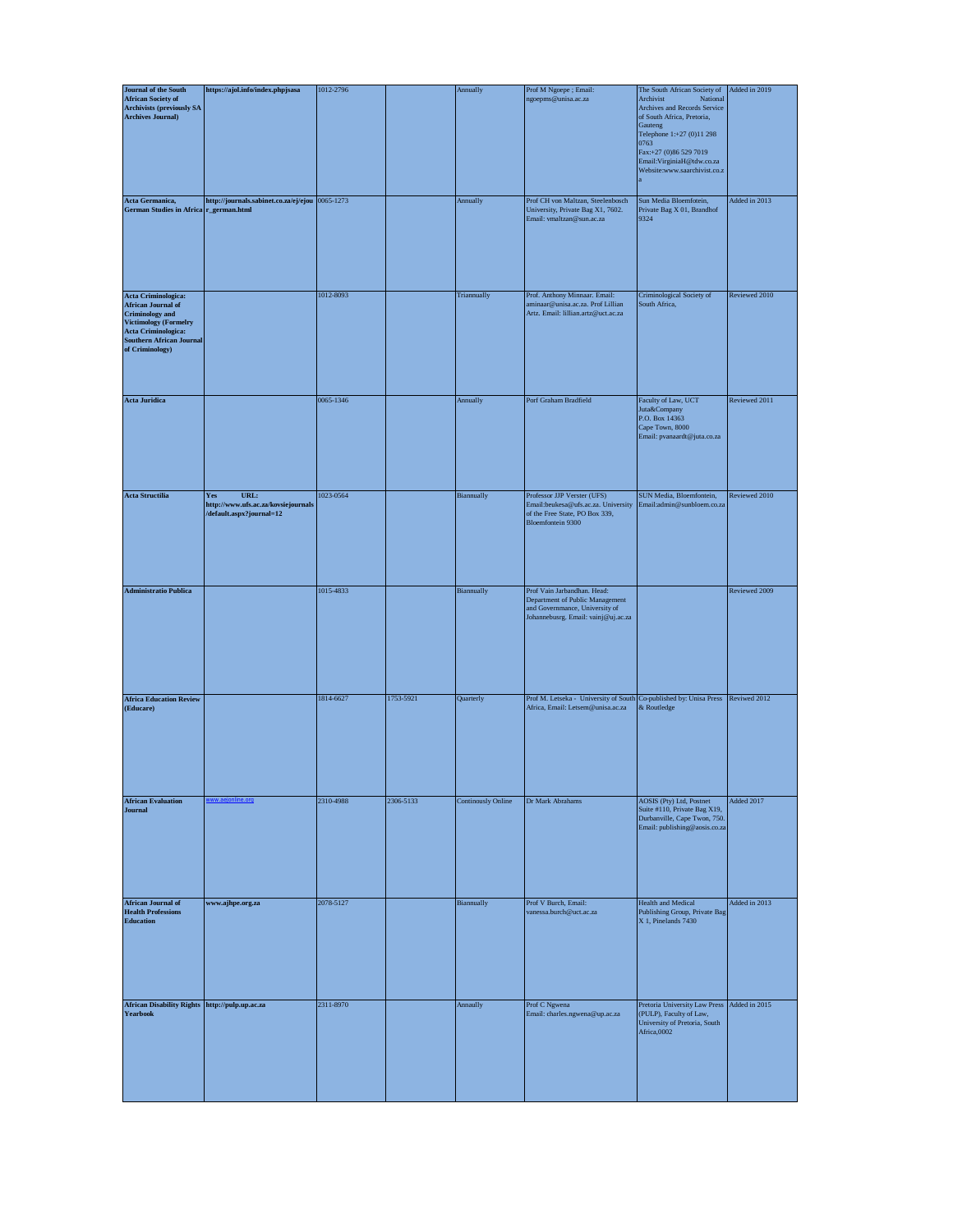| <b>Journal of the South</b>                                                                                                                                                             | https://ajol.info/index.phpjsasa                                               | 1012-2796 |           | Annually                  | Prof M Ngoepe; Email:                                                                                                                   | The South African Society of                                                                                                                                                                                                    | Added in 2019 |
|-----------------------------------------------------------------------------------------------------------------------------------------------------------------------------------------|--------------------------------------------------------------------------------|-----------|-----------|---------------------------|-----------------------------------------------------------------------------------------------------------------------------------------|---------------------------------------------------------------------------------------------------------------------------------------------------------------------------------------------------------------------------------|---------------|
| <b>African Society of</b><br><b>Archivists (previously SA</b><br><b>Archives Journal)</b>                                                                                               |                                                                                |           |           |                           | ngoepms@unisa.ac.za                                                                                                                     | Archivist<br>National<br>Archives and Records Service<br>of South Africa, Pretoria,<br>Gauteng<br>Telephone 1:+27 (0)11 298<br>0763<br>Fax:+27 (0)86 529 7019<br>Email:VirginiaH@tdw.co.za<br>Website:www.saarchivist.co.z<br>a |               |
| Acta Germanica,<br>German Studies in Africa r_german.html                                                                                                                               | http://journals.sabinet.co.za/ej/ejou 0065-1273                                |           |           | Annually                  | Prof CH von Maltzan, Steelenbosch<br>University, Private Bag X1, 7602.<br>Email: vmaltzan@sun.ac.za                                     | Sun Media Bloemfotein,<br>Private Bag X 01, Brandhof<br>9324                                                                                                                                                                    | Added in 2013 |
| Acta Criminologica:<br><b>African Journal of</b><br><b>Criminology</b> and<br><b>Victimology (Formelry</b><br>Acta Criminologica:<br><b>Southern African Journal</b><br>of Criminology) |                                                                                | 1012-8093 |           | Triannually               | Prof. Anthony Minnaar. Email:<br>aminaar@unisa.ac.za. Prof Lillian<br>Artz. Email: lillian.artz@uct.ac.za                               | Criminological Society of<br>South Africa,                                                                                                                                                                                      | Reviewed 2010 |
| <b>Acta Juridica</b>                                                                                                                                                                    |                                                                                | 0065-1346 |           | Annually                  | Porf Graham Bradfield                                                                                                                   | Faculty of Law, UCT<br>Juta&Company<br>P.O. Box 14363<br>Cape Town, 8000<br>Email: pvanaardt@juta.co.za                                                                                                                         | Reviewed 2011 |
| <b>Acta Structilia</b>                                                                                                                                                                  | URL:<br>Yes<br>http://www.ufs.ac.za/kovsiejournals<br>/default.aspx?journal=12 | 1023-0564 |           | Biannually                | Professor JJP Verster (UFS)<br>Email:beukesa@ufs.ac.za. University<br>of the Free State, PO Box 339,<br><b>Bloemfontein 9300</b>        | SUN Media, Bloemfontein,<br>Email:admin@sunbloem.co.za                                                                                                                                                                          | Reviewed 2010 |
| <b>Administratio Publica</b>                                                                                                                                                            |                                                                                | 1015-4833 |           | Biannually                | Prof Vain Jarbandhan. Head:<br>Department of Public Management<br>and Governmance, University of<br>Johannebusrg. Email: vainj@uj.ac.za |                                                                                                                                                                                                                                 | Reviewed 2009 |
| <b>Africa Education Review</b><br>(Educare)                                                                                                                                             |                                                                                | 1814-6627 | 1753-5921 | Quarterly                 | Prof M. Letseka - University of South Co-published by: Unisa Press<br>Africa, Email: Letsem@unisa.ac.za                                 | & Routledge                                                                                                                                                                                                                     | Reviwed 2012  |
| <b>African Evaluation</b><br><b>Journal</b>                                                                                                                                             | e.org                                                                          | 2310-4988 | 2306-5133 | <b>Continously Online</b> | Dr Mark Abrahams                                                                                                                        | AOSIS (Pty) Ltd, Postnet<br>Suite #110, Private Bag X19,<br>Durbanville, Cape Twon, 750.<br>Email: publishing@aosis.co.za                                                                                                       | Added 2017    |
| <b>African Journal of</b><br><b>Health Professions</b><br><b>Education</b>                                                                                                              | www.ajhpe.org.za                                                               | 2078-5127 |           | Biannually                | Prof V Burch, Email:<br>vanessa.burch@uct.ac.za                                                                                         | <b>Health and Medical</b><br>Publishing Group, Private Bag<br>X 1, Pinelands 7430                                                                                                                                               | Added in 2013 |
| African Disability Rights http://pulp.up.ac.za<br><b>Yearbook</b>                                                                                                                       |                                                                                | 2311-8970 |           | Annaully                  | Prof C Ngwena<br>Email: charles.ngwena@up.ac.za                                                                                         | Pretoria University Law Press<br>(PULP), Faculty of Law,<br>University of Pretoria, South<br>Africa,0002                                                                                                                        | Added in 2015 |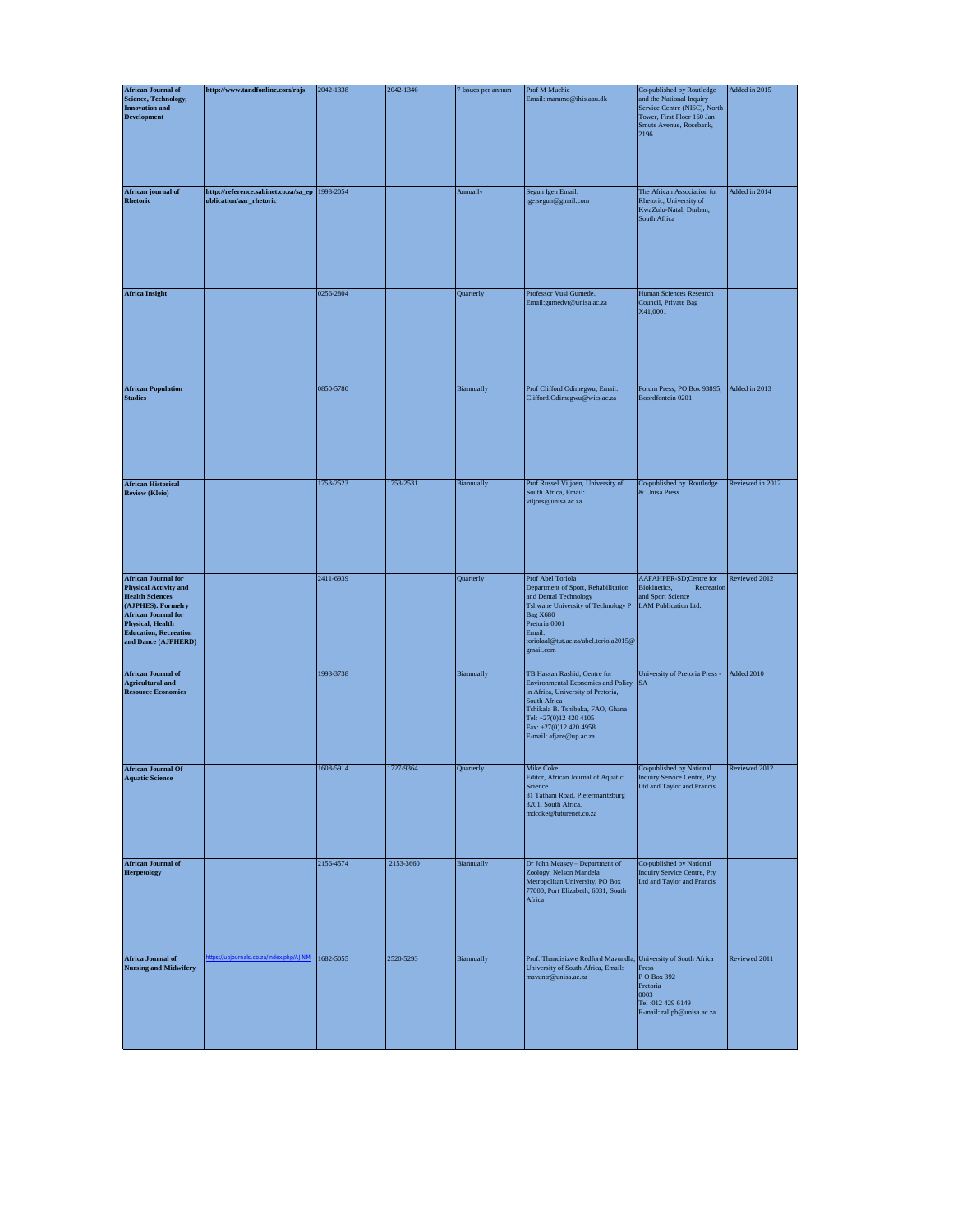| <b>African Journal of</b>                                                                                                                                                                                                  | http://www.tandfonline.com/rajs                                             | 2042-1338 | 2042-1346 | 7 Issues per annum | Prof M Muchie                                                                                                                                                                                                                               | Co-published by Routledge                                                                                                 | Added in 2015    |
|----------------------------------------------------------------------------------------------------------------------------------------------------------------------------------------------------------------------------|-----------------------------------------------------------------------------|-----------|-----------|--------------------|---------------------------------------------------------------------------------------------------------------------------------------------------------------------------------------------------------------------------------------------|---------------------------------------------------------------------------------------------------------------------------|------------------|
| <b>Science, Technology,</b><br><b>Innovation and</b><br><b>Development</b>                                                                                                                                                 |                                                                             |           |           |                    | Email: mammo@ihis.aau.dk                                                                                                                                                                                                                    | and the National Inquiry<br>Service Centre (NISC), North<br>Tower, First Floor 160 Jan<br>Smuts Avenue, Rosebank,<br>2196 |                  |
| African journal of<br>Rhetoric                                                                                                                                                                                             | http://reference.sabinet.co.za/sa_ep   1998-2054<br>ublication/aar_rhetoric |           |           | Annually           | Segun Igen Email:<br>ige.segun@gmail.com                                                                                                                                                                                                    | The African Association for<br>Rhetoric, University of<br>KwaZulu-Natal, Durban,<br>South Africa                          | Added in 2014    |
| <b>Africa Insight</b>                                                                                                                                                                                                      |                                                                             | 0256-2804 |           | Quarterly          | Professor Vusi Gumede.<br>Email:gumedvt@unisa.ac.za                                                                                                                                                                                         | Human Sciences Research<br>Council, Private Bag<br>X41,0001                                                               |                  |
| <b>African Population</b><br><b>Studies</b>                                                                                                                                                                                |                                                                             | 0850-5780 |           | Biannually         | Prof Clifford Odimegwu, Email:<br>Clifford.Odimegwu@wits.ac.za                                                                                                                                                                              | Forum Press, PO Box 93895,<br>Boordfontein 0201                                                                           | Added in 2013    |
| <b>African Historical</b><br><b>Review (Kleio)</b>                                                                                                                                                                         |                                                                             | 1753-2523 | 1753-2531 | Biannually         | Prof Russel Viljoen, University of<br>South Africa, Email:<br>viljors@unisa.ac.za                                                                                                                                                           | Co-published by :Routledge<br>& Unisa Press                                                                               | Reviewed in 2012 |
| <b>African Journal for</b><br><b>Physical Activity and</b><br><b>Health Sciences</b><br>(AJPHES). Formelry<br><b>African Journal for</b><br><b>Physical, Health</b><br><b>Education, Recreation</b><br>and Dance (AJPHERD) |                                                                             | 2411-6939 |           | Quarterly          | Prof Abel Toriola<br>Department of Sport, Rehabilitation<br>and Dental Technology<br>Tshwane University of Technology P<br><b>Bag X680</b><br>Pretoria 0001<br>Email:<br>toriolaal@tut.ac.za/abel.toriola2015@<br>gmail.com                 | AAFAHPER-SD;Centre for<br>Biokinetics,<br>Recreation<br>and Sport Science<br>LAM Publication Ltd.                         | Reviewed 2012    |
| <b>African Journal of</b><br><b>Agricultural and</b><br><b>Resource Economics</b>                                                                                                                                          |                                                                             | 1993-3738 |           | Biannually         | TB.Hassan Rashid, Centre for<br>Environmental Economics and Policy<br>in Africa, University of Pretoria,<br>South Africa<br>Tshikala B. Tshibaka, FAO, Ghana<br>Tel: +27(0)12 420 4105<br>Fax: +27(0)12 420 4958<br>E-mail: afjare@up.ac.za | University of Pretoria Press -<br><b>SA</b>                                                                               | Added 2010       |
| <b>African Journal Of</b><br><b>Aquatic Science</b>                                                                                                                                                                        |                                                                             | 1608-5914 | 1727-9364 | Quarterly          | Mike Coke<br>Editor, African Journal of Aquatic<br>Science<br>81 Tatham Road, Pietermaritzburg<br>3201, South Africa.<br>mdcoke@futurenet.co.za                                                                                             | Co-published by National<br><b>Inquiry Service Centre, Pty</b><br>Ltd and Taylor and Francis                              | Reviewed 2012    |
| <b>African Journal of</b><br><b>Herpetology</b>                                                                                                                                                                            |                                                                             | 2156-4574 | 2153-3660 | Biannually         | Dr John Measey - Department of<br>Zoology, Nelson Mandela<br>Metropolitan University, PO Box<br>77000, Port Elizabeth, 6031, South<br>Africa                                                                                                | Co-published by National<br>Inquiry Service Centre, Pty<br>Ltd and Taylor and Francis                                     |                  |
| Africa Journal of<br><b>Nursing and Midwifery</b>                                                                                                                                                                          |                                                                             | 1682-5055 | 2520-5293 | Biannually         | Prof. Thandisizwe Redford Mavundla, University of South Africa<br>University of South Africa, Email:<br>mavuntr@unisa.ac.za                                                                                                                 | Press<br>P O Box 392<br>Pretoria<br>0003<br>Tel:012 429 6149<br>E-mail: rallpb@unisa.ac.za                                | Reviewed 2011    |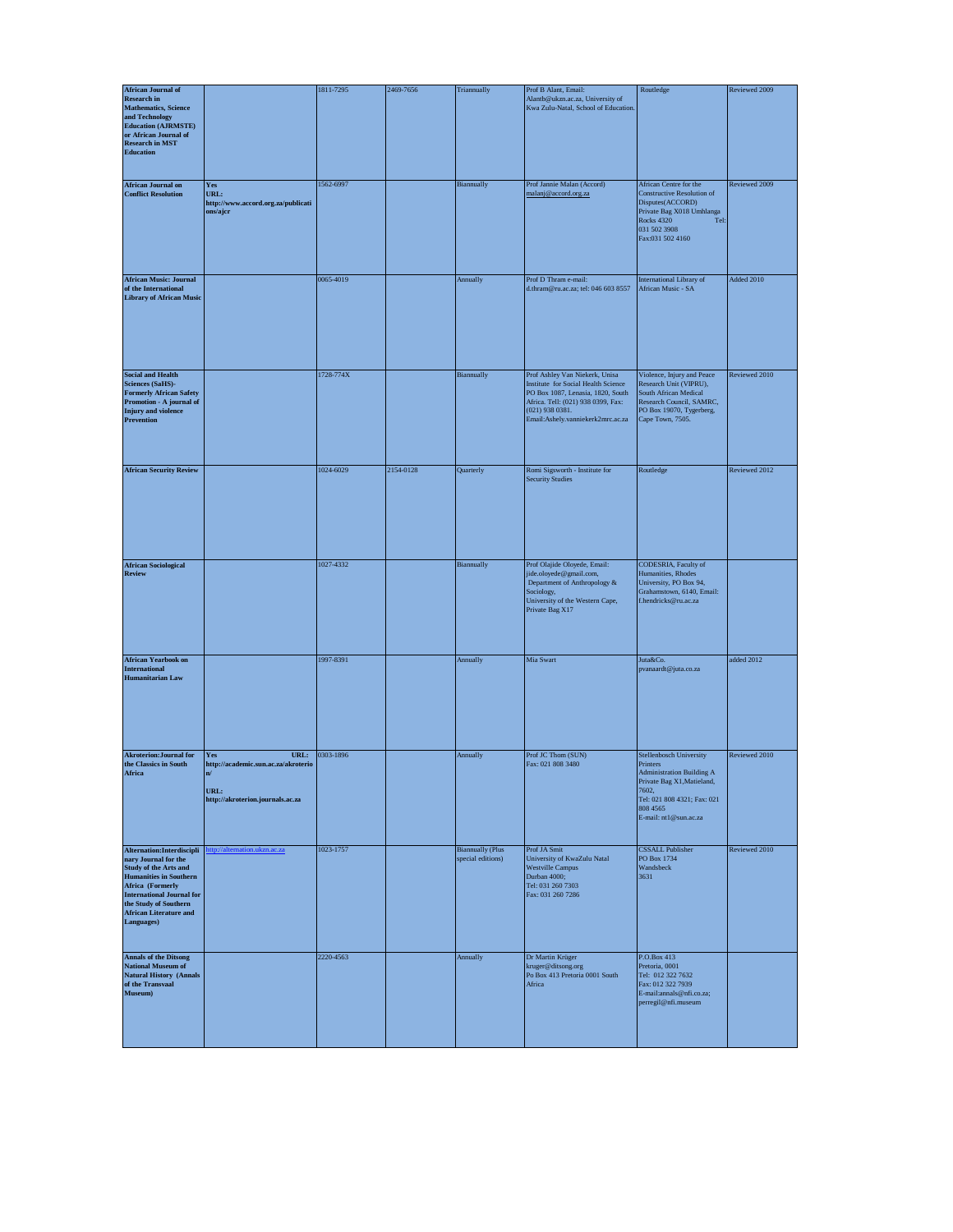| <b>African Journal of</b>                                                                                                                                                                                                                           |                                                                                                                  | 1811-7295 | 2469-7656 | Triannually                                  | Prof B Alant, Email:                                                                                                                                                                                       | Routledge                                                                                                                                                                                 | Reviewed 2009 |
|-----------------------------------------------------------------------------------------------------------------------------------------------------------------------------------------------------------------------------------------------------|------------------------------------------------------------------------------------------------------------------|-----------|-----------|----------------------------------------------|------------------------------------------------------------------------------------------------------------------------------------------------------------------------------------------------------------|-------------------------------------------------------------------------------------------------------------------------------------------------------------------------------------------|---------------|
| <b>Research in</b><br><b>Mathematics</b> , Science<br>and Technology<br><b>Education (AJRMSTE)</b><br>or African Journal of<br><b>Research in MST</b><br><b>Education</b>                                                                           |                                                                                                                  |           |           |                                              | Alantb@ukzn.ac.za, University of<br>Kwa Zulu-Natal, School of Education.                                                                                                                                   |                                                                                                                                                                                           |               |
| <b>African Journal on</b><br><b>Conflict Resolution</b>                                                                                                                                                                                             | $\mathbf{Yes}$<br>URL:<br>http://www.accord.org.za/publicati<br>ons/ajcr                                         | 1562-6997 |           | Biannually                                   | Prof Jannie Malan (Accord)<br>malanj@accord.org.za                                                                                                                                                         | African Centre for the<br><b>Constructive Resolution of</b><br>Disputes(ACCORD)<br>Private Bag X018 Umhlanga<br><b>Rocks 4320</b><br>Tel:<br>031 502 3908<br>Fax:031 502 4160             | Reviewed 2009 |
| <b>African Music: Journal</b><br>of the International<br><b>Library of African Music</b>                                                                                                                                                            |                                                                                                                  | 0065-4019 |           | Annually                                     | Prof D Thram e-mail:<br>d.thram@ru.ac.za; tel: 046 603 8557                                                                                                                                                | International Library of<br>African Music - SA                                                                                                                                            | Added 2010    |
| <b>Social and Health</b><br><b>Sciences (SaHS)-</b><br><b>Formerly African Safety</b><br>Promotion - A journal of<br><b>Injury</b> and violence<br><b>Prevention</b>                                                                                |                                                                                                                  | 1728-774X |           | Biannually                                   | Prof Ashley Van Niekerk, Unisa<br>Institute for Social Health Science<br>PO Box 1087, Lenasia, 1820, South<br>Africa. Tell: (021) 938 0399, Fax:<br>$(021)$ 938 0381.<br>Email:Ashely.vanniekerk2mrc.ac.za | Violence, Injury and Peace<br>Research Unit (VIPRU),<br>South African Medical<br>Research Council, SAMRC,<br>PO Box 19070, Tygerberg,<br>Cape Town, 7505.                                 | Reviewed 2010 |
| <b>African Security Review</b>                                                                                                                                                                                                                      |                                                                                                                  | 1024-6029 | 2154-0128 | Quarterly                                    | Romi Sigsworth - Institute for<br><b>Security Studies</b>                                                                                                                                                  | Routledge                                                                                                                                                                                 | Reviewed 2012 |
| <b>African Sociological</b><br><b>Review</b>                                                                                                                                                                                                        |                                                                                                                  | 1027-4332 |           | Biannually                                   | Prof Olajide Oloyede, Email:<br>jide.oloyede@gmail.com,<br>Department of Anthropology &<br>Sociology,<br>University of the Western Cape,<br>Private Bag X17                                                | CODESRIA, Faculty of<br>Humanities, Rhodes<br>University, PO Box 94,<br>Grahamstown, 6140, Email:<br>f.hendricks@ru.ac.za                                                                 |               |
| <b>African Yearbook on</b><br><b>International</b><br><b>Humanitarian Law</b>                                                                                                                                                                       |                                                                                                                  | 1997-8391 |           | Annually                                     | Mia Swart                                                                                                                                                                                                  | Juta&Co.<br>pvanaardt@juta.co.za                                                                                                                                                          | added 2012    |
| <b>Akroterion: Journal for</b><br>the Classics in South<br>Africa                                                                                                                                                                                   | URL:<br>Yes<br>http://academic.sun.ac.za/akroterio<br>$\mathbf{n} /$<br>URL:<br>http://akroterion.journals.ac.za | 0303-1896 |           | Annually                                     | Prof JC Thom (SUN)<br>Fax: 021 808 3480                                                                                                                                                                    | <b>Stellenbosch University</b><br>Printers<br><b>Administration Building A</b><br>Private Bag X1, Matieland,<br>7602,<br>Tel: 021 808 4321; Fax: 021<br>808 4565<br>E-mail: nt1@sun.ac.za | Reviewed 2010 |
| Alternation: Interdiscipli<br>nary Journal for the<br><b>Study of the Arts and</b><br><b>Humanities in Southern</b><br>Africa (Formerly<br><b>International Journal for</b><br>the Study of Southern<br><b>African Literature and</b><br>Languages) | ttp://alternation.ukzn.ac.za                                                                                     | 1023-1757 |           | <b>Biannually (Plus</b><br>special editions) | Prof JA Smit<br>University of KwaZulu Natal<br><b>Westville Campus</b><br>Durban 4000;<br>Tel: 031 260 7303<br>Fax: 031 260 7286                                                                           | <b>CSSALL Publisher</b><br>PO Box 1734<br>Wandsbeck<br>3631                                                                                                                               | Reviewed 2010 |
| <b>Annals of the Ditsong<br/>National Museum of</b><br><b>Natural History (Annals</b><br>of the Transvaal<br>Museum)                                                                                                                                |                                                                                                                  | 2220-4563 |           | Annually                                     | Dr Martin Krüger<br>kruger@ditsong.org<br>Po Box 413 Pretoria 0001 South<br>Africa                                                                                                                         | P.O.Box 413<br>Pretoria, 0001<br>Tel: 012 322 7632<br>Fax: 012 322 7939<br>E-mail:annals@nfi.co.za;<br>perregil@nfi.museum                                                                |               |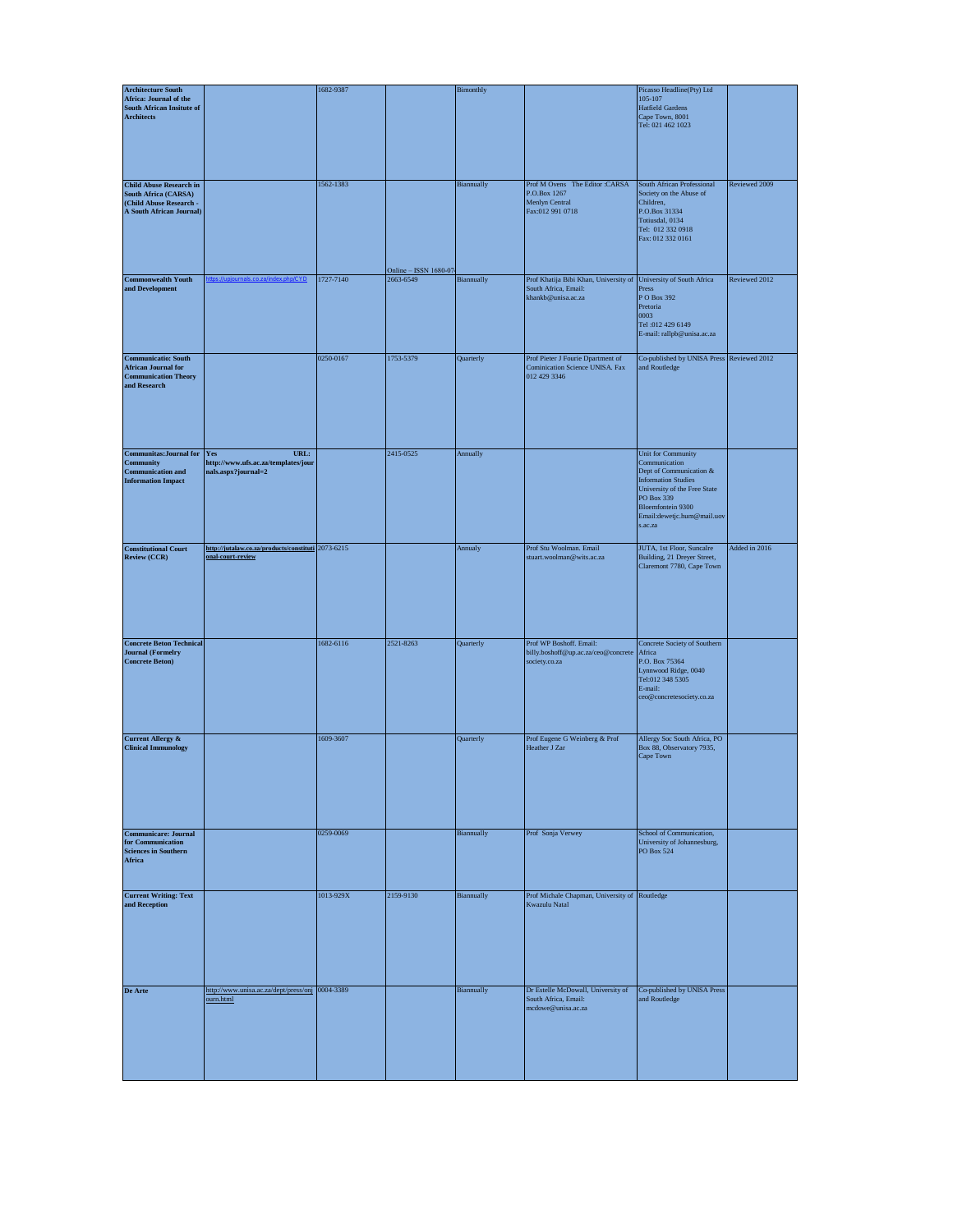| <b>Architecture South</b>                                                                                            |                                                                                  | 1682-9387 |                       | Bimonthly  |                                                                                                                | Picasso Headline(Pty) Ltd                                                                                                                                                                                |               |
|----------------------------------------------------------------------------------------------------------------------|----------------------------------------------------------------------------------|-----------|-----------------------|------------|----------------------------------------------------------------------------------------------------------------|----------------------------------------------------------------------------------------------------------------------------------------------------------------------------------------------------------|---------------|
| Africa: Journal of the<br><b>South African Insitute of</b><br><b>Architects</b>                                      |                                                                                  |           |                       |            |                                                                                                                | 105-107<br><b>Hatfield Gardens</b><br>Cape Town, 8001<br>Tel: 021 462 1023                                                                                                                               |               |
| <b>Child Abuse Research in</b><br><b>South Africa (CARSA)</b><br>(Child Abuse Research -<br>A South African Journal) |                                                                                  | 1562-1383 | Online - ISSN 1680-07 | Biannually | Prof M Ovens The Editor :CARSA<br>P.O.Box 1267<br>Menlyn Central<br>Fax:012 991 0718                           | South African Professional<br>Society on the Abuse of<br>Children,<br>P.O.Box 31334<br>Totiusdal, 0134<br>Tel: 012 332 0918<br>Fax: 012 332 0161                                                         | Reviewed 2009 |
| <b>Commonwealth Youth</b><br>and Development                                                                         |                                                                                  | 1727-7140 | 2663-6549             | Biannually | Prof Khatija Bibi Khan, University of University of South Africa<br>South Africa, Email:<br>khankb@unisa.ac.za | Press<br>P O Box 392<br>Pretoria                                                                                                                                                                         | Reviewed 2012 |
|                                                                                                                      |                                                                                  |           |                       |            |                                                                                                                | 0003<br>Tel:012 429 6149<br>E-mail: rallpb@unisa.ac.za                                                                                                                                                   |               |
| <b>Communicatio: South</b><br><b>African Journal for</b><br><b>Communication Theory</b><br>and Research              |                                                                                  | 0250-0167 | 1753-5379             | Quarterly  | Prof Pieter J Fourie Dpartment of<br>Cominication Science UNISA. Fax<br>012 429 3346                           | Co-published by UNISA Press Reviewed 2012<br>and Routledge                                                                                                                                               |               |
| <b>Communitas: Journal for</b><br><b>Community</b><br><b>Communication and</b><br><b>Information Impact</b>          | URL:<br><b>Yes</b><br>http://www.ufs.ac.za/templates/jour<br>nals.aspx?journal=2 |           | 2415-0525             | Annually   |                                                                                                                | Unit for Community<br>Communication<br>Dept of Communication &<br><b>Information Studies</b><br>University of the Free State<br>PO Box 339<br>Bloemfontein 9300<br>Email:dewetjc.hum@mail.uov<br>s.ac.za |               |
| <b>Constitutional Court</b><br>Review (CCR)                                                                          | http://jutalaw.co.za/products/constituti 2073-6215<br>onal-court-review          |           |                       | Annualy    | Prof Stu Woolman. Email<br>stuart.woolman@wits.ac.za                                                           | JUTA, 1st Floor, Suncalre<br>Building, 21 Dreyer Street,<br>Claremont 7780, Cape Town                                                                                                                    | Added in 2016 |
| <b>Concrete Beton Technical</b><br><b>Journal</b> (Formelry<br><b>Concrete Beton)</b>                                |                                                                                  | 1682-6116 | 2521-8263             | Quarterly  | Prof WP Boshoff. Email:<br>billy.boshoff@up.ac.za/ceo@concrete<br>society.co.za                                | Concrete Society of Southern<br>Africa<br>P.O. Box 75364<br>Lynnwood Ridge, 0040<br>Tel:012 348 5305<br>E-mail:<br>ceo@concretesociety.co.za                                                             |               |
| <b>Current Allergy &amp;</b><br><b>Clinical Immunology</b>                                                           |                                                                                  | 1609-3607 |                       | Quarterly  | Prof Eugene G Weinberg & Prof<br>Heather J Zar                                                                 | Allergy Soc South Africa, PO<br>Box 88, Observatory 7935,<br>Cape Town                                                                                                                                   |               |
| <b>Communicare: Journal</b><br>for Communication<br><b>Sciences in Southern</b><br>Africa                            |                                                                                  | 0259-0069 |                       | Biannually | Prof Sonja Verwey                                                                                              | School of Communication,<br>University of Johannesburg,<br>PO Box 524                                                                                                                                    |               |
| <b>Current Writing: Text</b><br>and Reception                                                                        |                                                                                  | 1013-929X | 2159-9130             | Biannually | Prof Michale Chapman, University of Routledge<br>Kwazulu Natal                                                 |                                                                                                                                                                                                          |               |
| De Arte                                                                                                              | http://www.unisa.ac.za/dept/press/onj 0004-3389<br>ourn.html                     |           |                       | Biannually | Dr Estelle McDowall, University of<br>South Africa, Email:<br>mcdowe@unisa.ac.za                               | Co-published by UNISA Press<br>and Routledge                                                                                                                                                             |               |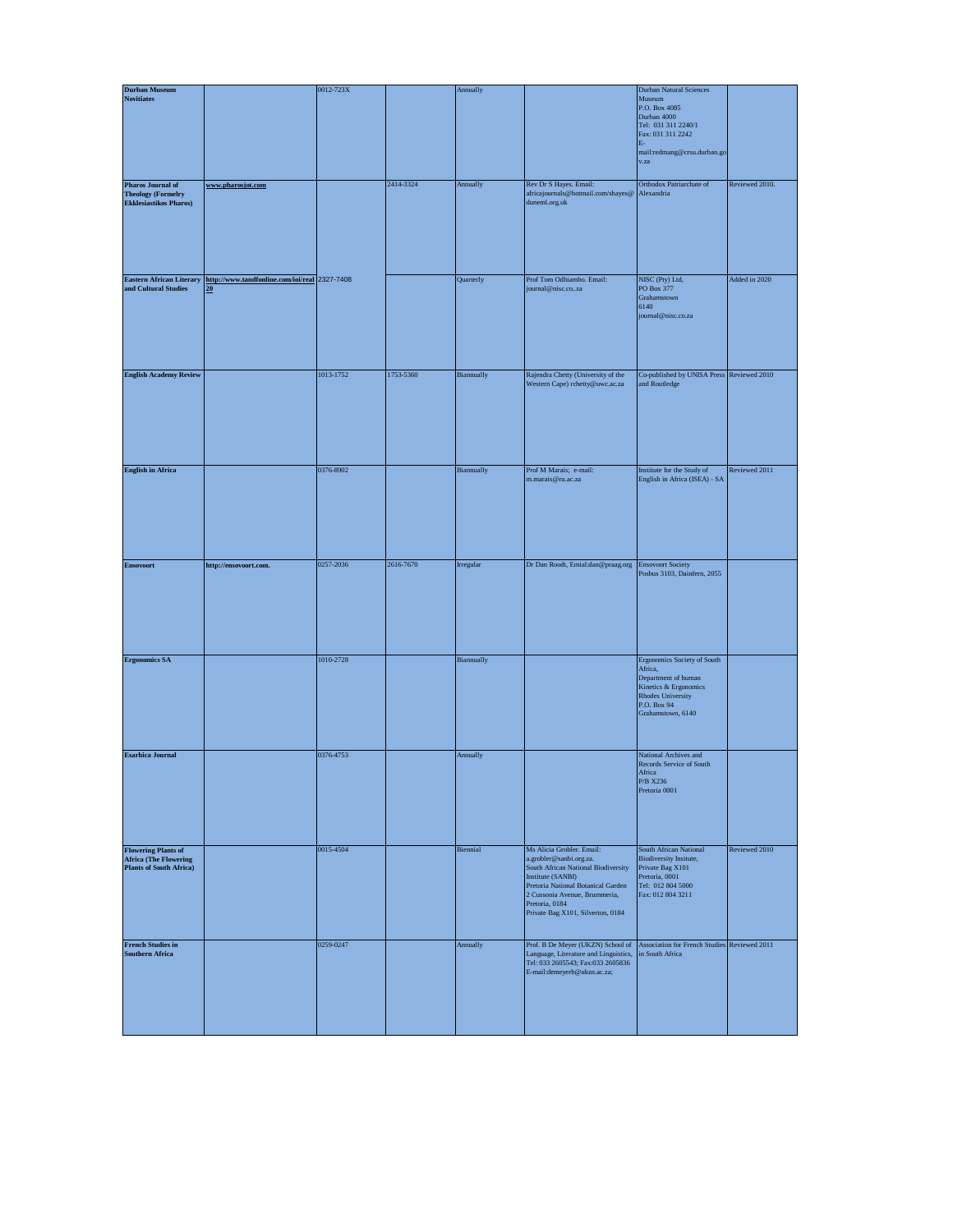| <b>Durban Museum</b>                                                                         |                                                                  | 0012-723X |           | Annually   |                                                                                                                                                                                                                                                | Durban Natural Sciences                                                                                                                           |                |
|----------------------------------------------------------------------------------------------|------------------------------------------------------------------|-----------|-----------|------------|------------------------------------------------------------------------------------------------------------------------------------------------------------------------------------------------------------------------------------------------|---------------------------------------------------------------------------------------------------------------------------------------------------|----------------|
| <b>Novitiates</b>                                                                            |                                                                  |           |           |            |                                                                                                                                                                                                                                                | Museum<br>P.O. Box 4085<br>Durban 4000<br>Tel: 031 311 2240/1<br>Fax: 031 311 2242<br>$\mathbf{E}\text{-}$<br>mail:redmang@crsu.durban.go<br>v.za |                |
| <b>Pharos Journal of</b><br><b>Theology (Formelry</b><br><b>Ekklesiastikos Pharos)</b>       | www.pharosjot.com                                                |           | 2414-3324 | Annually   | Rev Dr S Hayes. Email:<br>africajournals@hotmail.com/shayes@<br>duneml.org.uk                                                                                                                                                                  | Orthodox Patriarchate of<br>Alexandria                                                                                                            | Reviewed 2010. |
| <b>Eastern African Literary</b><br>and Cultural Studies                                      | http://www.tandfonline.com/ioi/real 2327-7408<br>20 <sub>1</sub> |           |           | Quarterly  | Prof Tom Odhiambo. Email:<br>journal@nisc.coza                                                                                                                                                                                                 | NISC (Pty) Ltd,<br>PO Box 377<br>Grahamstown<br>6140<br>journal@nisc.co.za                                                                        | Added in 2020  |
| <b>English Academy Review</b>                                                                |                                                                  | 1013-1752 | 1753-5360 | Biannually | Rajendra Chetty (University of the<br>Western Cape) rchetty@uwc.ac.za                                                                                                                                                                          | Co-published by UNISA Press Reviewed 2010<br>and Routledge                                                                                        |                |
| <b>English in Africa</b>                                                                     |                                                                  | 0376-8902 |           | Biannually | Prof M Marais; e-mail:<br>m.marais@ru.ac.za                                                                                                                                                                                                    | Institute for the Study of<br>English in Africa (ISEA) - SA                                                                                       | Reviewed 2011  |
| <b>Ensovoort</b>                                                                             | http://ensovoort.com.                                            | 0257-2036 | 2616-7670 | Irregular  | Dr Dan Roodt, Emial:dan@praag.org                                                                                                                                                                                                              | <b>Ensovoort Society</b><br>Posbus 3103, Dainfern, 2055                                                                                           |                |
| <b>Ergonomics SA</b>                                                                         |                                                                  | 1010-2728 |           | Biannually |                                                                                                                                                                                                                                                | Ergonomics Society of South<br>Africa,<br>Department of human<br>Kinetics & Ergonomics<br>Rhodes University<br>P.O. Box 94<br>Grahamstown, 6140   |                |
| <b>Esarbica Journal</b>                                                                      |                                                                  | 0376-4753 |           | Annually   |                                                                                                                                                                                                                                                | National Archives and<br>Records Service of South<br>Africa<br>P/B X236<br>Pretoria 0001                                                          |                |
| <b>Flowering Plants of</b><br><b>Africa</b> (The Flowering<br><b>Plants of South Africa)</b> |                                                                  | 0015-4504 |           | Biennial   | Ms Alicia Grobler. Email:<br>a.grobler@sanbi.org.za.<br>South African National Biodiversity<br>Institute (SANBI)<br>Pretoria National Botanical Garden<br>2 Cussonia Avenue, Brummeria,<br>Pretoria, 0184<br>Private Bag X101, Silverton, 0184 | South African National<br><b>Biodiversity Insitute,</b><br>Private Bag X101<br>Pretoria, 0001<br>Tel: 012 804 5000<br>Fax: 012 804 3211           | Reviewed 2010  |
| <b>French Studies in</b><br><b>Southern Africa</b>                                           |                                                                  | 0259-0247 |           | Annually   | Prof. B De Meyer (UKZN) School of<br>Language, Literature and Linguistics,<br>Tel: 033 2605543; Fax:033 2605836<br>E-mail:demeyerb@ukzn.ac.za;                                                                                                 | Association for French Studies Reviewed 2011<br>in South Africa                                                                                   |                |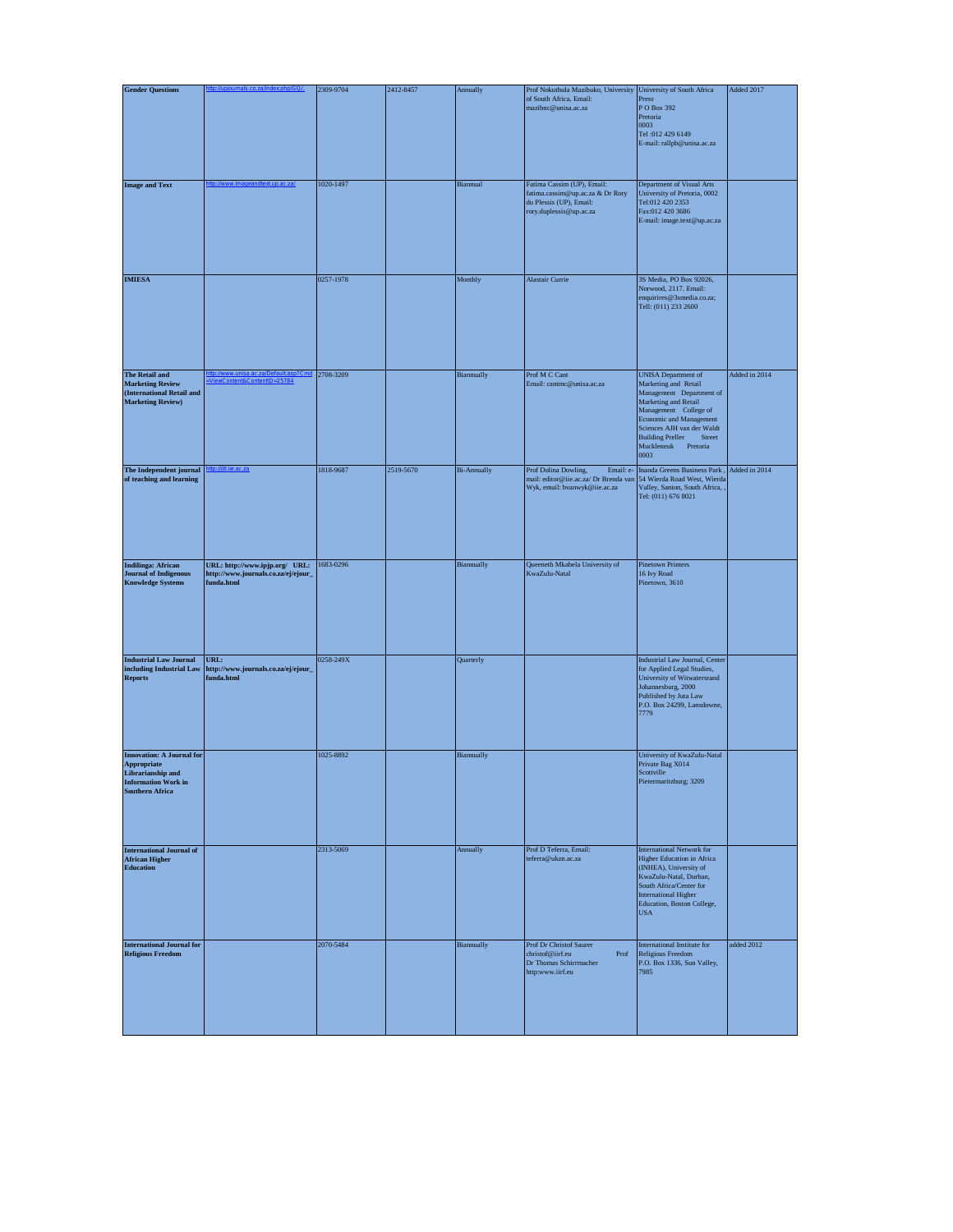| <b>Gender Questions</b>                                                                                                      |                                                                                     | 2309-9704 | 2412-8457 | Annually           | Prof Nokuthula Mazibuko, University University of South Africa                                                                          |                                                                                                                                                                                                                                                                     | Added 2017    |
|------------------------------------------------------------------------------------------------------------------------------|-------------------------------------------------------------------------------------|-----------|-----------|--------------------|-----------------------------------------------------------------------------------------------------------------------------------------|---------------------------------------------------------------------------------------------------------------------------------------------------------------------------------------------------------------------------------------------------------------------|---------------|
|                                                                                                                              |                                                                                     |           |           |                    | of South Africa, Email:<br>mazibnc@unisa.ac.za                                                                                          | Press<br>P O Box 392<br>Pretoria<br>0003<br>Tel:012 429 6149<br>E-mail: rallpb@unisa.ac.za                                                                                                                                                                          |               |
| <b>Image and Text</b>                                                                                                        |                                                                                     | 1020-1497 |           | Biannual           | Fatima Cassim (UP), Email:<br>fatima.cassim@up.ac.za & Dr Rory<br>du Plessis (UP), Email:<br>rory.duplessis@up.ac.za                    | Department of Visual Arts<br>University of Pretoria, 0002<br>Tel:012 420 2353<br>Fax:012 420 3686<br>E-mail: image.text@up.ac.za                                                                                                                                    |               |
| <b>IMIESA</b>                                                                                                                |                                                                                     | 0257-1978 |           | Monthly            | <b>Alastair Currie</b>                                                                                                                  | 3S Media, PO Box 92026,<br>Norwood, 2117. Email:<br>enquirires@3smedia.co.za;<br>Tell: (011) 233 2600                                                                                                                                                               |               |
| The Retail and<br><b>Marketing Review</b><br>(International Retail and<br><b>Marketing Review)</b>                           |                                                                                     | 2708-3209 |           | Biannually         | Prof M C Cant<br>Email: cantmc@unisa.ac.za                                                                                              | <b>UNISA</b> Department of<br>Marketing and Retail<br>Management Department of<br>Marketing and Retail<br>Management College of<br><b>Economic and Management</b><br>Sciences AJH van der Waldt<br><b>Building Preller</b><br>Street<br>Muckleneuk Pretoria<br>0003 | Added in 2014 |
| The Independent journal<br>of teaching and learning                                                                          |                                                                                     | 1818-9687 | 2519-5670 | <b>Bi-Annually</b> | Prof Dolina Dowling,<br>Email: e-<br>mail: editor@iie.ac.za/ Dr Brenda van 54 Wierda Road West, Wierda<br>Wyk, email: bvanwyk@iie.ac.za | Inanda Greens Business Park,<br>Valley, Santon, South Africa, ,<br>Tel: (011) 676 8021                                                                                                                                                                              | Added in 2014 |
| <b>Indilinga: African</b><br><b>Journal of Indigenous</b><br><b>Knowledge Systems</b>                                        | URL: http://www.ipjp.org/ URL:<br>http://www.journals.co.za/ej/ejour_<br>funda.html | 1683-0296 |           | Biannually         | Queeneth Mkabela University of<br>KwaZulu-Natal                                                                                         | <b>Pinetown Printers</b><br>16 Ivy Road<br>Pinetown, 3610                                                                                                                                                                                                           |               |
| <b>Industrial Law Journal</b><br>including Industrial Law<br><b>Reports</b>                                                  | URL:<br>http://www.journals.co.za/ej/ejour_<br>funda.html                           | 0258-249X |           | Quarterly          |                                                                                                                                         | Industrial Law Journal, Center<br>for Applied Legal Studies,<br>University of Witwatersrand<br>Johannesburg, 2000<br>Published by Juta Law<br>P.O. Box 24299, Lansdowne,<br>7779                                                                                    |               |
| <b>Innovation: A Journal for</b><br>Appropriate<br>Librarianship and<br><b>Information Work in</b><br><b>Southern Africa</b> |                                                                                     | 1025-8892 |           | Biannually         |                                                                                                                                         | University of KwaZulu-Natal<br>Private Bag X014<br>Scottville<br>Pietermaritzburg; 3209                                                                                                                                                                             |               |
| <b>International Journal of</b><br><b>African Higher</b><br><b>Education</b>                                                 |                                                                                     | 2313-5069 |           | Annually           | Prof D Teferra, Email:<br>teferra@ukzn.ac.za                                                                                            | <b>International Network for</b><br>Higher Education in Africa<br>(INHEA), University of<br>KwaZulu-Natal, Durban,<br>South Africa/Center for<br><b>International Higher</b><br>Education, Boston College,<br><b>USA</b>                                            |               |
| <b>International Journal for</b><br><b>Religious Freedom</b>                                                                 |                                                                                     | 2070-5484 |           | Biannually         | Prof Dr Christof Saurer<br>christof@iirf.eu<br>Prof<br>Dr Thomas Schirrmacher<br>http:www.iirf.eu                                       | International Institute for<br>Religious Freedom<br>P.O. Box 1336, Sun Valley,<br>7985                                                                                                                                                                              | added 2012    |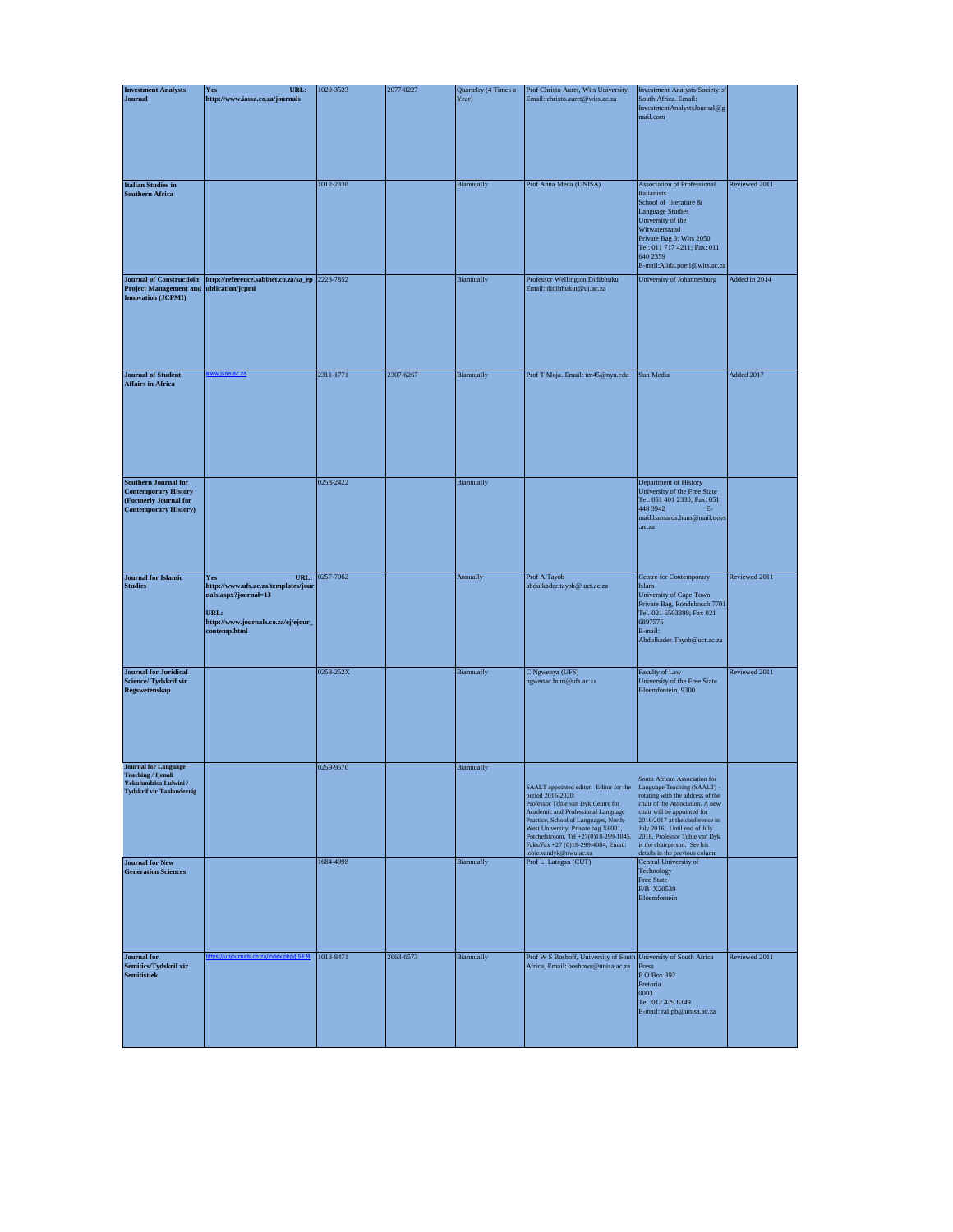| <b>Investment Analysts</b>                                                                                             | URL:<br>Yes                                                                                                                               | 1029-3523 | 2077-0227 | Quartelry (4 Times a | Prof Christo Auret, Wits University.                                                                                                                                                                                                                                                                                                                                                         | Investment Analysts Society of                                                                                                                                                                                                                                           |               |
|------------------------------------------------------------------------------------------------------------------------|-------------------------------------------------------------------------------------------------------------------------------------------|-----------|-----------|----------------------|----------------------------------------------------------------------------------------------------------------------------------------------------------------------------------------------------------------------------------------------------------------------------------------------------------------------------------------------------------------------------------------------|--------------------------------------------------------------------------------------------------------------------------------------------------------------------------------------------------------------------------------------------------------------------------|---------------|
| Journal                                                                                                                | http://www.iassa.co.za/journals                                                                                                           |           |           | Year)                | Email: christo.auret@wits.ac.za                                                                                                                                                                                                                                                                                                                                                              | South Africa. Email:<br>InvestmentAnalystsJournal@g<br>mail.com                                                                                                                                                                                                          |               |
| <b>Italian Studies in</b><br><b>Southern Africa</b>                                                                    |                                                                                                                                           | 1012-2338 |           | Biannually           | Prof Anna Meda (UNISA)                                                                                                                                                                                                                                                                                                                                                                       | <b>Association of Professional</b><br>Italianists<br>School of literature &<br><b>Language Studies</b><br>University of the<br>Witwatersrand<br>Private Bag 3; Wits 2050<br>Tel: 011 717 4211; Fax: 011<br>640 2359<br>E-mail:Alida.poeti@wits.ac.za                     | Reviewed 2011 |
| <b>Journal of Constructioin</b><br><b>Project Management and</b><br><b>Innovation (JCPMI)</b>                          | http://reference.sabinet.co.za/sa_ep 2223-7852<br>ublication/jcpmi                                                                        |           |           | Biannually           | Professor Wellington Didibhuku<br>Email: didibhukut@uj.ac.za                                                                                                                                                                                                                                                                                                                                 | University of Johannesburg                                                                                                                                                                                                                                               | Added in 2014 |
| <b>Journal of Student</b><br><b>Affairs in Africa</b>                                                                  |                                                                                                                                           | 2311-1771 | 2307-6267 | Biannually           | Prof T Moja. Email: tm45@nyu.edu                                                                                                                                                                                                                                                                                                                                                             | Sun Media                                                                                                                                                                                                                                                                | Added 2017    |
| <b>Southern Journal for</b><br><b>Contemporary History</b><br>(Formerly Journal for<br><b>Contemporary History)</b>    |                                                                                                                                           | 0258-2422 |           | Biannually           |                                                                                                                                                                                                                                                                                                                                                                                              | Department of History<br>University of the Free State<br>Tel: 051 401 2330; Fax: 051<br>448 3942<br>$\mathbf{E}$<br>mail:barnards.hum@mail.uovs<br>.ac.za                                                                                                                |               |
| <b>Journal</b> for Islamic<br><b>Studies</b>                                                                           | URL:<br>Yes<br>http://www.ufs.ac.za/templates/jour<br>nals.aspx?journal=13<br>URL:<br>http://www.journals.co.za/ej/ejour_<br>contemp.html | 0257-7062 |           | Annually             | Prof A Tayob<br>abdulkader.tayob@.uct.ac.za                                                                                                                                                                                                                                                                                                                                                  | Centre for Contemporary<br>Islam<br>University of Cape Town<br>Private Bag, Rondebosch 7701<br>Tel. 021 6503399; Fax 021<br>6897575<br>E-mail:<br>Abdulkader.Tayob@uct.ac.za                                                                                             | Reviewed 2011 |
| <b>Journal for Juridical</b><br>Science/Tydskrif vir<br>Regswetenskap                                                  |                                                                                                                                           | 0258-252X |           | Biannually           | C Ngwenya (UFS)<br>ngwenac.hum@ufs.ac.za                                                                                                                                                                                                                                                                                                                                                     | Faculty of Law<br>University of the Free State<br>Bloemfontein, 9300                                                                                                                                                                                                     | Reviewed 2011 |
| <b>Journal</b> for Language<br><b>Teaching / Ijenali</b><br>Yekufundzisa Lulwini /<br><b>Tydskrif vir Taalonderrig</b> |                                                                                                                                           | 0259-9570 |           | Biannually           | SAALT appointed editor. Editor for the Language Teaching (SAALT) -<br>period 2016-2020:<br>Professor Tobie van Dyk, Centre for<br>Academic and Professional Language<br>Practice, School of Languages, North-<br>West University, Private bag X6001,<br>Potchefstroom, Tel +27(0)18-299-1045, 2016, Professor Tobie van Dyk<br>Faks/Fax +27 (0)18-299-4084, Email:<br>tobie.vandyk@nwu.ac.za | South African Association for<br>rotating with the address of the<br>chair of the Association. A new<br>chair will be appointed for<br>$2016/2017$ at the conference in<br>July 2016. Until end of July<br>is the chairperson. See his<br>details in the previous column |               |
| <b>Journal</b> for New<br><b>Generation Sciences</b>                                                                   |                                                                                                                                           | 1684-4998 |           | Biannually           | Prof L Lategan (CUT)                                                                                                                                                                                                                                                                                                                                                                         | Central University of<br>Technology<br>Free State<br>P/B X20539<br>Bloemfontein                                                                                                                                                                                          |               |
| <b>Journal</b> for<br>Semitics/Tydskrif vir<br>Semitistiek                                                             |                                                                                                                                           | 1013-8471 | 2663-6573 | Biannually           | Prof W S Boshoff, University of South University of South Africa<br>Africa, Email: boshows@unisa.ac.za                                                                                                                                                                                                                                                                                       | Press<br>P O Box 392<br>Pretoria<br>0003<br>Tel:012 429 6149<br>E-mail: rallpb@unisa.ac.za                                                                                                                                                                               | Reviewed 2011 |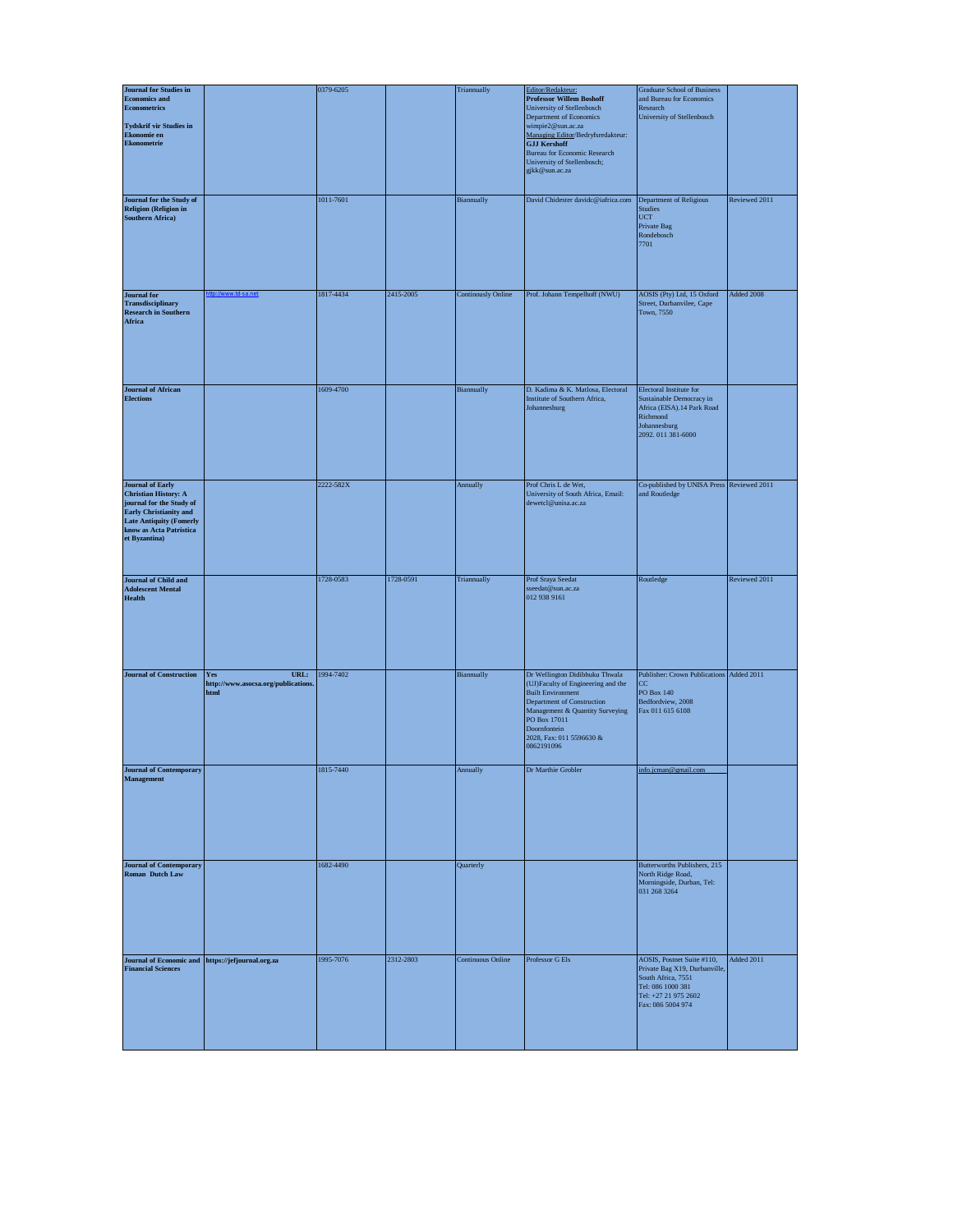| <b>Journal for Studies in</b>                                                                                                                                                        |                                                            | 0379-6205 |           | Triannually               | Editor/Redakteur:                                                                                                                                                                                                                                                 | <b>Graduate School of Business</b>                                                                                                                  |               |
|--------------------------------------------------------------------------------------------------------------------------------------------------------------------------------------|------------------------------------------------------------|-----------|-----------|---------------------------|-------------------------------------------------------------------------------------------------------------------------------------------------------------------------------------------------------------------------------------------------------------------|-----------------------------------------------------------------------------------------------------------------------------------------------------|---------------|
| <b>Economics and</b><br><b>Econometrics</b><br><b>Tydskrif vir Studies in</b><br>Ekonomie en<br><b>Ekonometrie</b>                                                                   |                                                            |           |           |                           | <b>Professor Willem Boshoff</b><br>University of Stellenbosch<br>Department of Economics<br>wimpie2@sun.ac.za<br>Managing Editor/Bedryfsredakteur:<br><b>GJJ Kershoff</b><br><b>Bureau for Economic Research</b><br>University of Stellenbosch;<br>gjkk@sun.ac.za | and Bureau for Economics<br>Research<br>University of Stellenbosch                                                                                  |               |
| Journal for the Study of<br><b>Religion (Religion in</b><br><b>Southern Africa)</b>                                                                                                  |                                                            | 1011-7601 |           | Biannually                | David Chidester davidc@iafrica.com                                                                                                                                                                                                                                | Department of Religious<br><b>Studies</b><br>$_{\rm UCT}$<br>Private Bag<br>Rondebosch<br>7701                                                      | Reviewed 2011 |
| <b>Journal</b> for<br>Transdisciplinary<br><b>Research in Southern</b><br>Africa                                                                                                     |                                                            | 1817-4434 | 2415-2005 | <b>Continously Online</b> | Prof. Johann Tempelhoff (NWU)                                                                                                                                                                                                                                     | AOSIS (Pty) Ltd, 15 Oxford<br>Street, Durbanvilee, Cape<br>Town, 7550                                                                               | Added 2008    |
| <b>Journal of African</b><br><b>Elections</b>                                                                                                                                        |                                                            | 1609-4700 |           | Biannually                | D. Kadima & K. Matlosa, Electoral<br>Institute of Southern Africa,<br>Johannesburg                                                                                                                                                                                | Electoral Institute for<br>Sustainable Democracy in<br>Africa (EISA). 14 Park Road<br>Richmond<br>Johannesburg<br>2092.011381-6000                  |               |
| <b>Journal of Early<br/>Christian History: A</b><br>journal for the Study of<br>Early Christianity and<br><b>Late Antiquity (Fomerly</b><br>know as Acta Patristica<br>et Byzantina) |                                                            | 2222-582X |           | Annually                  | Prof Chris L de Wet,<br>University of South Africa, Email:<br>dewetcl@unisa.ac.za                                                                                                                                                                                 | Co-published by UNISA Press Reviewed 2011<br>and Routledge                                                                                          |               |
| <b>Journal of Child and</b><br><b>Adolescent Mental</b><br><b>Health</b>                                                                                                             |                                                            | 1728-0583 | 1728-0591 | Triannually               | Prof Sraya Seedat<br>sseedat@sun.ac.za<br>012 938 9161                                                                                                                                                                                                            | Routledge                                                                                                                                           | Reviewed 2011 |
| <b>Journal of Construction</b>                                                                                                                                                       | URL:<br>Yes<br>http://www.asocsa.org/publications.<br>html | 1994-7402 |           | Biannually                | Dr Wellington Didibhuku Thwala<br>(UJ)Faculty of Engineering and the<br><b>Built Environment</b><br>Department of Construction<br>Management & Quantity Surveying<br>PO Box 17011<br>Doornfontein<br>2028, Fax: 011 5596630 &<br>0862191096                       | Publisher: Crown Publications Added 2011<br>$\rm CC$<br><b>PO Box 140</b><br>Bedfordview, 2008<br>Fax 011 615 6108                                  |               |
| <b>Journal of Contemporary</b><br>agement                                                                                                                                            |                                                            | 1815-7440 |           | Annually                  | Dr Marthie Grobler                                                                                                                                                                                                                                                | info.jcman@gmail.com                                                                                                                                |               |
| <b>Journal of Contemporary<br/>Roman Dutch Law</b>                                                                                                                                   |                                                            | 1682-4490 |           | Quarterly                 |                                                                                                                                                                                                                                                                   | Butterworths Publishers, 215<br>North Ridge Road,<br>Morningside, Durban, Tel:<br>031 268 3264                                                      |               |
| <b>Journal of Economic and</b><br><b>Financial Sciences</b>                                                                                                                          | https://jefjournal.org.za                                  | 1995-7076 | 2312-2803 | <b>Continuous Online</b>  | Professor G Els                                                                                                                                                                                                                                                   | AOSIS, Postnet Suite #110,<br>Private Bag X19, Durbanville,<br>South Africa, 7551<br>Tel: 086 1000 381<br>Tel: +27 21 975 2602<br>Fax: 086 5004 974 | Added 2011    |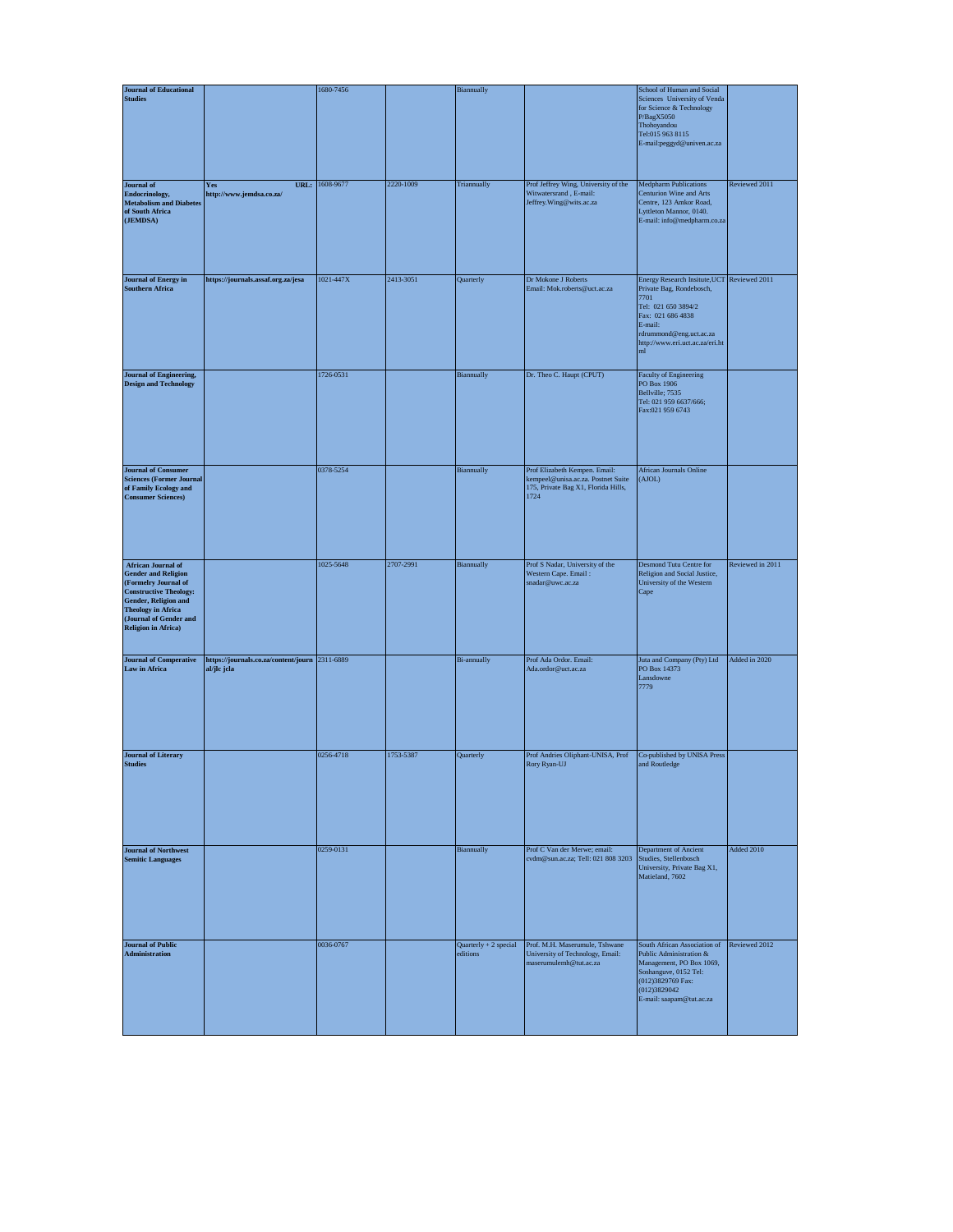| <b>Journal of Educational</b>                                                                                                                                                                                                 |                                                               | 1680-7456      |           | Biannually                        |                                                                                                                    | School of Human and Social                                                                                                                                                                                            |                  |
|-------------------------------------------------------------------------------------------------------------------------------------------------------------------------------------------------------------------------------|---------------------------------------------------------------|----------------|-----------|-----------------------------------|--------------------------------------------------------------------------------------------------------------------|-----------------------------------------------------------------------------------------------------------------------------------------------------------------------------------------------------------------------|------------------|
| <b>Studies</b>                                                                                                                                                                                                                |                                                               |                |           |                                   |                                                                                                                    | Sciences University of Venda<br>for Science & Technology<br>P/BagX5050<br>Thohoyandou<br>Tel:015 963 8115<br>E-mail:peggyd@univen.ac.za                                                                               |                  |
| Journal of<br>Endocrinology,<br><b>Metabolism and Diabetes</b><br>of South Africa<br>(JEMDSA)                                                                                                                                 | <b>Yes</b><br>http://www.jemdsa.co.za/                        | URL: 1608-9677 | 2220-1009 | Triannually                       | Prof Jeffrey Wing, University of the<br>Witwatersrand, E-mail:<br>Jeffrey. Wing@wits.ac.za                         | <b>Medpharm Publications</b><br>Centurion Wine and Arts<br>Centre, 123 Amkor Road,<br>Lyttleton Mannor, 0140.<br>E-mail: info@medpharm.co.za                                                                          | Reviewed 2011    |
| <b>Journal of Energy in</b><br><b>Southern Africa</b>                                                                                                                                                                         | https://journals.assaf.org.za/jesa                            | 1021-447X      | 2413-3051 | Quarterly                         | Dr Mokone J Roberts<br>Email: Mok.roberts@uct.ac.za                                                                | Energy Research Insitute, UCT Reviewed 2011<br>Private Bag, Rondebosch,<br>7701<br>Tel: 021 650 3894/2<br>Fax: 021 686 4838<br>E-mail:<br>rdrummond@eng.uct.ac.za<br>http://www.eri.uct.ac.za/eri.ht<br>$\mathbf{ml}$ |                  |
| <b>Journal of Engineering,</b><br><b>Design and Technology</b>                                                                                                                                                                |                                                               | 1726-0531      |           | Biannually                        | Dr. Theo C. Haupt (CPUT)                                                                                           | Faculty of Engineering<br>PO Box 1906<br>Bellville; 7535<br>Tel: 021 959 6637/666;<br>Fax:021 959 6743                                                                                                                |                  |
| <b>Journal of Consumer</b><br><b>Sciences (Former Journal</b><br>of Family Ecology and<br><b>Consumer Sciences)</b>                                                                                                           |                                                               | 0378-5254      |           | Biannually                        | Prof Elizabeth Kempen. Email:<br>kempeel@unisa.ac.za. Postnet Suite<br>175, Private Bag X1, Florida Hills,<br>1724 | <b>African Journals Online</b><br>(AJOL)                                                                                                                                                                              |                  |
| <b>African Journal of</b><br><b>Gender and Religion</b><br>(Formelry Journal of<br><b>Constructive Theology:</b><br>Gender, Religion and<br><b>Theology in Africa</b><br>(Journal of Gender and<br><b>Religion in Africa)</b> |                                                               | 1025-5648      | 2707-2991 | Biannually                        | Prof S Nadar, University of the<br>Western Cape. Email:<br>snadar@uwc.ac.za                                        | Desmond Tutu Centre for<br>Religion and Social Justice,<br>University of the Western<br>Cape                                                                                                                          | Reviewed in 2011 |
| <b>Journal of Comperative<br/>Law in Africa</b>                                                                                                                                                                               | https://journals.co.za/content/journ 2311-6889<br>al/jlc jcla |                |           | <b>Bi-annually</b>                | Prof Ada Ordor. Email:<br>Ada.ordor@uct.ac.za                                                                      | Juta and Company (Pty) Ltd<br>PO Box 14373<br>Lansdowne<br>7779                                                                                                                                                       | Added in 2020    |
| <b>Journal of Literary</b><br><b>Studies</b>                                                                                                                                                                                  |                                                               | 0256-4718      | 1753-5387 | Quarterly                         | Prof Andries Oliphant-UNISA, Prof<br>Rory Ryan-UJ                                                                  | Co-published by UNISA Press<br>and Routledge                                                                                                                                                                          |                  |
| <b>Journal of Northwest</b><br><b>Semitic Languages</b>                                                                                                                                                                       |                                                               | 0259-0131      |           | Biannually                        | Prof C Van der Merwe; email:<br>cvdm@sun.ac.za; Tell: 021 808 3203                                                 | Department of Ancient<br>Studies, Stellenbosch<br>University, Private Bag X1,<br>Matieland, 7602                                                                                                                      | Added 2010       |
| <b>Journal of Public</b><br><b>Administration</b>                                                                                                                                                                             |                                                               | 0036-0767      |           | Quarterly + 2 special<br>editions | Prof. M.H. Maserumule, Tshwane<br>University of Technology, Email:<br>maserumulemh@tut.ac.za                       | South African Association of<br>Public Administration &<br>Management, PO Box 1069,<br>Soshanguve, 0152 Tel:<br>(012)3829769 Fax:<br>(012)3829042<br>E-mail: saapam@tut.ac.za                                         | Reviewed 2012    |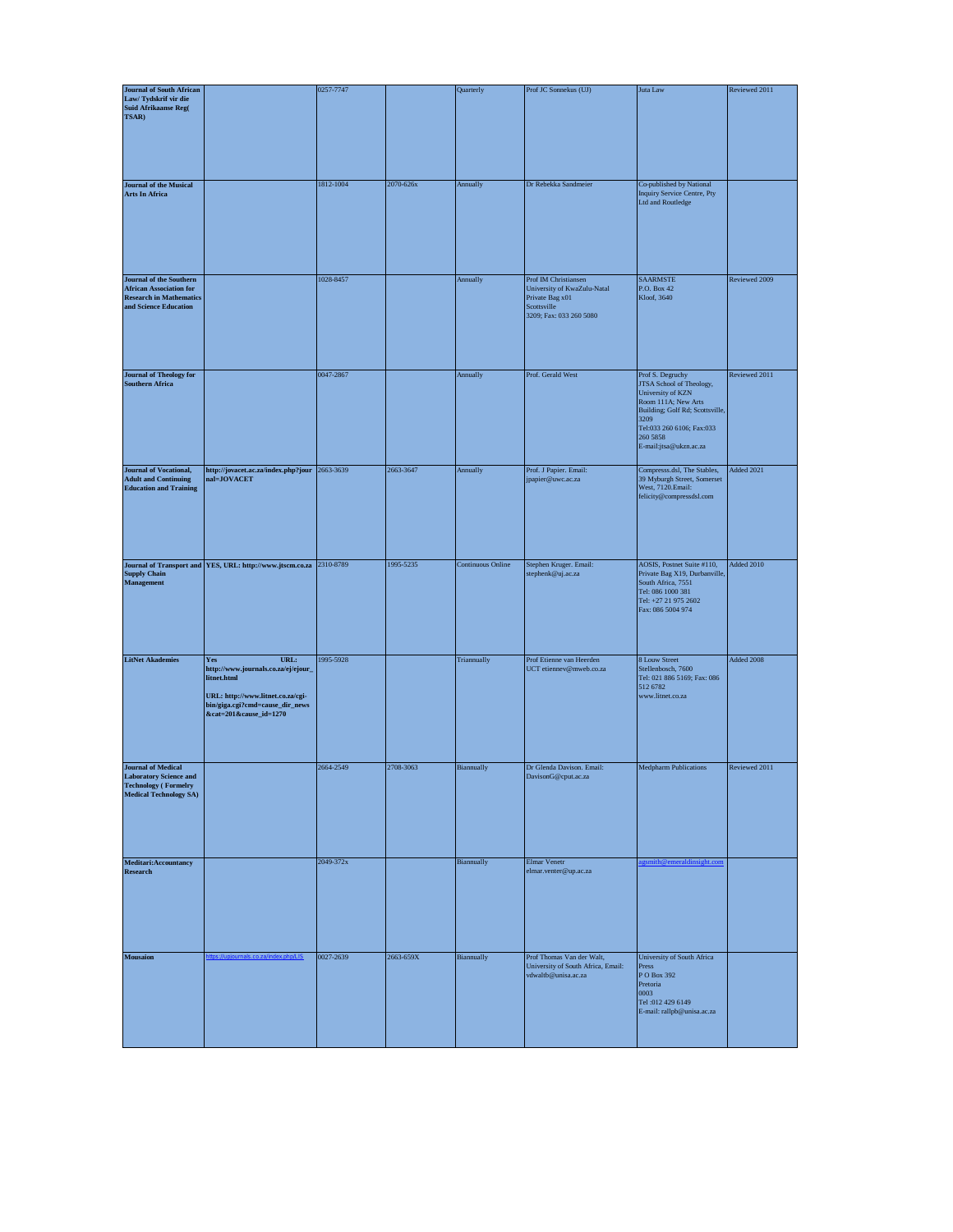| <b>Journal of South African</b>                                                                                            |                                                                                                                                                                            | 0257-7747 |           | Quarterly                | Prof JC Sonnekus (UJ)                                                                                            | Juta Law                                                                                                                                                                                               | Reviewed 2011 |
|----------------------------------------------------------------------------------------------------------------------------|----------------------------------------------------------------------------------------------------------------------------------------------------------------------------|-----------|-----------|--------------------------|------------------------------------------------------------------------------------------------------------------|--------------------------------------------------------------------------------------------------------------------------------------------------------------------------------------------------------|---------------|
| Law/Tydskrif vir die<br>Suid Afrikaanse Reg<br>( TSAR)                                                                     |                                                                                                                                                                            |           |           |                          |                                                                                                                  |                                                                                                                                                                                                        |               |
| <b>Journal of the Musical</b><br><b>Arts In Africa</b>                                                                     |                                                                                                                                                                            | 1812-1004 | 2070-626x | Annually                 | Dr Rebekka Sandmeier                                                                                             | Co-published by National<br>Inquiry Service Centre, Pty<br>Ltd and Routledge                                                                                                                           |               |
| Journal of the Southern<br><b>African Association for</b><br><b>Research in Mathematics</b><br>and Science Education       |                                                                                                                                                                            | 1028-8457 |           | Annually                 | Prof IM Christiansen<br>University of KwaZulu-Natal<br>Private Bag x01<br>Scottsville<br>3209; Fax: 033 260 5080 | <b>SAARMSTE</b><br>P.O. Box 42<br>Kloof, 3640                                                                                                                                                          | Reviewed 2009 |
| <b>Journal of Theology for</b><br><b>Southern Africa</b>                                                                   |                                                                                                                                                                            | 0047-2867 |           | Annually                 | Prof. Gerald West                                                                                                | Prof S. Degruchy<br>JTSA School of Theology,<br>University of KZN<br>Room 111A; New Arts<br>Building; Golf Rd; Scottsville,<br>3209<br>Tel:033 260 6106; Fax:033<br>260 5858<br>E-mail:jtsa@ukzn.ac.za | Reviewed 2011 |
| <b>Journal of Vocational,</b><br><b>Adult and Continuing</b><br><b>Education and Training</b>                              | http://jovacet.ac.za/index.php?jour 2663-3639<br>nal=JOVACET                                                                                                               |           | 2663-3647 | Annually                 | Prof. J Papier. Email:<br>jpapier@uwc.ac.za                                                                      | Compresss.dsl, The Stables,<br>39 Myburgh Street, Somerset<br>West, 7120.Email:<br>felicity@compressdsl.com                                                                                            | Added 2021    |
|                                                                                                                            | Journal of Transport and $\fbox{YES, URL: http://www.jtscm.co.za}$ Supply Chain<br><code>Management</code>                                                                 | 2310-8789 | 1995-5235 | <b>Continuous Online</b> | Stephen Kruger. Email:<br>stephenk@uj.ac.za                                                                      | AOSIS, Postnet Suite #110,<br>Private Bag X19, Durbanville,<br>South Africa, 7551<br>Tel: 086 1000 381<br>Tel: +27 21 975 2602<br>Fax: 086 5004 974                                                    | Added 2010    |
| <b>LitNet Akademies</b>                                                                                                    | URL:<br><b>Yes</b><br>http://www.journals.co.za/ej/ejour_<br>litnet.html<br>URL: http://www.litnet.co.za/cgi-<br>bin/giga.cgi?cmd=cause_dir_news<br>&cat=201&cause_id=1270 | 1995-5928 |           | Triannually              | Prof Etienne van Heerden<br>UCT etiennev@mweb.co.za                                                              | 8 Louw Street<br>Stellenbosch, 7600<br>Tel: 021 886 5169; Fax: 086<br>512 6782<br>www.litnet.co.za                                                                                                     | Added 2008    |
| <b>Journal of Medical</b><br><b>Laboratory Science and</b><br><b>Technology (Formelry</b><br><b>Medical Technology SA)</b> |                                                                                                                                                                            | 2664-2549 | 2708-3063 | Biannually               | Dr Glenda Davison. Email:<br>DavisonG@cput.ac.za                                                                 | <b>Medpharm Publications</b>                                                                                                                                                                           | Reviewed 2011 |
| Meditari:Accountancy<br>Research                                                                                           |                                                                                                                                                                            | 2049-372x |           | Biannually               | Elmar Venetr<br>elmar.venter@up.ac.za                                                                            | mith@emeraldinsight.com                                                                                                                                                                                |               |
| <b>Mousaion</b>                                                                                                            |                                                                                                                                                                            | 0027-2639 | 2663-659X | Biannually               | Prof Thomas Van der Walt,<br>University of South Africa, Email:<br>vdwaltb@unisa.ac.za                           | University of South Africa<br>Press<br>P O Box 392<br>Pretoria<br>0003<br>Tel:012 429 6149<br>E-mail: rallpb@unisa.ac.za                                                                               |               |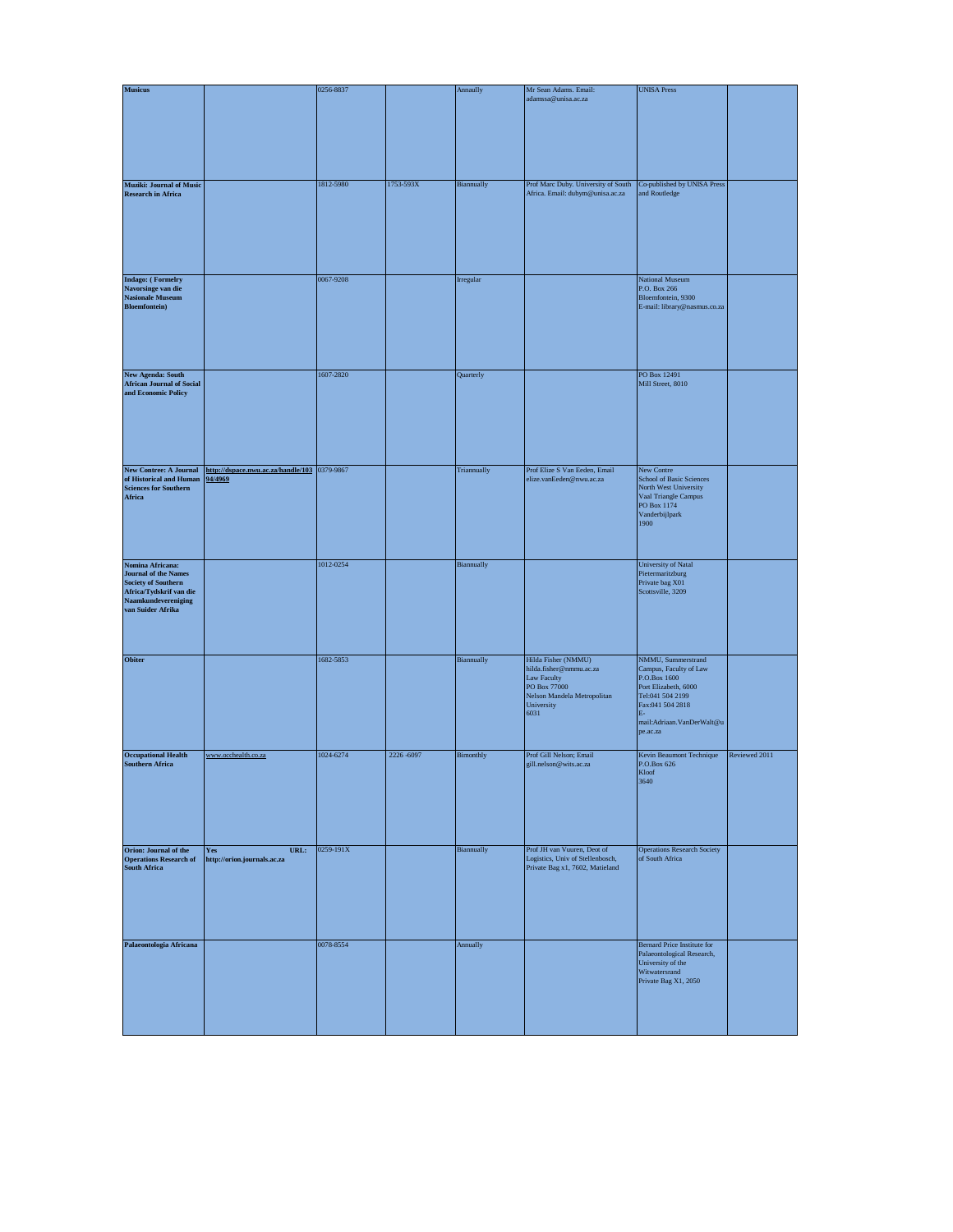| <b>Musicus</b>                                                                                                                                |                                                         | 0256-8837 |           | Annaully    | Mr Sean Adams. Email:                                                                                                                     | <b>UNISA Press</b>                                                                                                                                                           |               |
|-----------------------------------------------------------------------------------------------------------------------------------------------|---------------------------------------------------------|-----------|-----------|-------------|-------------------------------------------------------------------------------------------------------------------------------------------|------------------------------------------------------------------------------------------------------------------------------------------------------------------------------|---------------|
|                                                                                                                                               |                                                         |           |           |             | adamssa@unisa.ac.za                                                                                                                       |                                                                                                                                                                              |               |
| Muziki: Journal of Music<br><b>Research in Africa</b>                                                                                         |                                                         | 1812-5980 | 1753-593X | Biannually  | Prof Marc Duby. University of South<br>Africa. Email: dubym@unisa.ac.za                                                                   | Co-published by UNISA Press<br>and Routledge                                                                                                                                 |               |
| Indago: (Formelry<br>Navorsinge van die<br><b>Nasionale Museum</b><br><b>Bloemfontein</b> )                                                   |                                                         | 0067-9208 |           | Irregular   |                                                                                                                                           | National Museum<br>P.O. Box 266<br>Bloemfontein, 9300<br>E-mail: library@nasmus.co.za                                                                                        |               |
| <b>New Agenda: South</b><br><b>African Journal of Social</b><br>and Economic Policy                                                           |                                                         | 1607-2820 |           | Quarterly   |                                                                                                                                           | PO Box 12491<br>Mill Street, 8010                                                                                                                                            |               |
| <b>New Contree: A Journal</b><br>of Historical and Human<br><b>Sciences for Southern</b><br>Africa                                            | http://dspace.nwu.ac.za/handle/103 0379-9867<br>94/4969 |           |           | Triannually | Prof Elize S Van Eeden, Email<br>elize.vanEeden@nwu.ac.za                                                                                 | New Contre<br>School of Basic Sciences<br>North West University<br>Vaal Triangle Campus<br>PO Box 1174<br>Vanderbijlpark<br>1900                                             |               |
| Nomina Africana:<br><b>Journal of the Names</b><br>Society of Southern<br>Africa/Tydskrif van die<br>Naamkundevereniging<br>van Suider Afrika |                                                         | 1012-0254 |           | Biannually  |                                                                                                                                           | University of Natal<br>Pietermaritzburg<br>Private bag X01<br>Scottsville, 3209                                                                                              |               |
| Obiter                                                                                                                                        |                                                         | 1682-5853 |           | Biannually  | Hilda Fisher (NMMU)<br>hilda.fisher@nmmu.ac.za<br><b>Law Faculty</b><br>PO Box 77000<br>Nelson Mandela Metropolitan<br>University<br>6031 | NMMU, Summerstrand<br>Campus, Faculty of Law<br>P.O.Box 1600<br>Port Elizabeth, 6000<br>Tel:041 504 2199<br>Fax:041 504 2818<br>IF.<br>mail:Adriaan.VanDerWalt@u<br>pe.ac.za |               |
| <b>Occupational Health</b><br><b>Southern Africa</b>                                                                                          | www.occhealth.co.za                                     | 1024-6274 | 2226-6097 | Bimonthly   | Prof Gill Nelson; Email<br>gill.nelson@wits.ac.za                                                                                         | Kevin Beaumont Technique<br>P.O.Box 626<br>Kloof<br>3640                                                                                                                     | Reviewed 2011 |
| Orion: Journal of the<br><b>Operations Research of</b><br><b>South Africa</b>                                                                 | URL:<br>Yes<br>http://orion.journals.ac.za              | 0259-191X |           | Biannually  | Prof JH van Vuuren, Deot of<br>Logistics, Univ of Stellenbosch,<br>Private Bag x1, 7602, Matieland                                        | <b>Operations Research Society</b><br>of South Africa                                                                                                                        |               |
| Palaeontologia Africana                                                                                                                       |                                                         | 0078-8554 |           | Annually    |                                                                                                                                           | Bernard Price Institute for<br>Palaeontological Research,<br>University of the<br>Witwatersrand<br>Private Bag X1, 2050                                                      |               |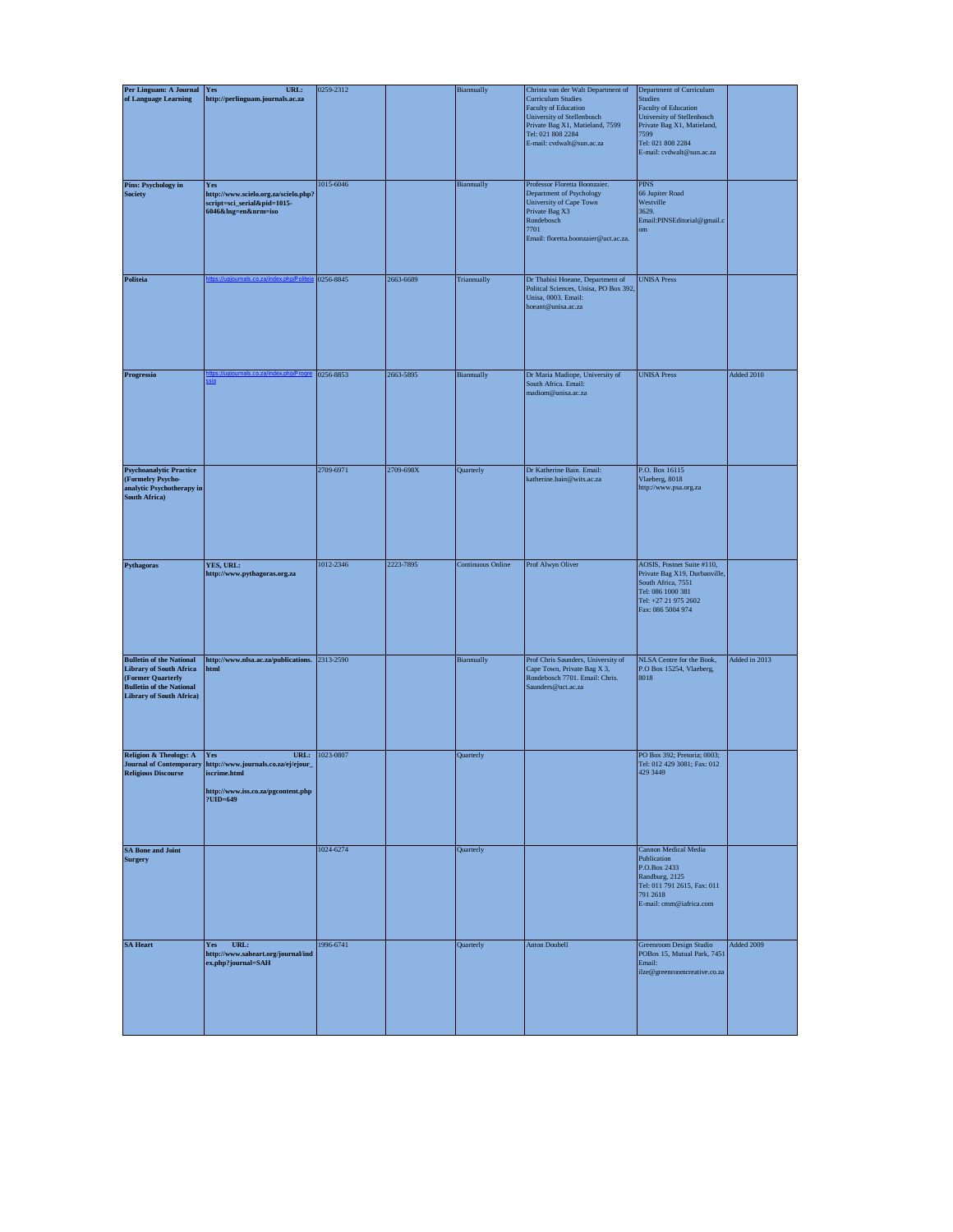| Per Linguam: A Journal                                                                                                                                       | URL:<br>Yes                                                                                                          | 0259-2312 |           | Biannually               | Christa van der Walt Department of                                                                                                                                          | Department of Curriculum                                                                                                                                     |               |
|--------------------------------------------------------------------------------------------------------------------------------------------------------------|----------------------------------------------------------------------------------------------------------------------|-----------|-----------|--------------------------|-----------------------------------------------------------------------------------------------------------------------------------------------------------------------------|--------------------------------------------------------------------------------------------------------------------------------------------------------------|---------------|
| of Language Learning                                                                                                                                         | http://perlinguam.journals.ac.za                                                                                     |           |           |                          | <b>Curriculum Studies</b><br><b>Faculty of Education</b><br>University of Stellenbosch<br>Private Bag X1, Matieland, 7599<br>Tel: 021 808 2284<br>E-mail: cvdwalt@sun.ac.za | <b>Studies</b><br>Faculty of Education<br>University of Stellenbosch<br>Private Bag X1, Matieland,<br>7599<br>Tel: 021 808 2284<br>E-mail: cvdwalt@sun.ac.za |               |
| Pins: Psychology in<br><b>Society</b>                                                                                                                        | Yes<br>http://www.scielo.org.za/scielo.php?<br>script=sci_serial&pid=1015-<br>6046&lng=en&nrm=iso                    | 1015-6046 |           | Biannually               | Professor Floretta Boonzaier.<br>Department of Psychology<br>University of Cape Town<br>Private Bag X3<br>Rondebosch<br>7701<br>Email: floretta.boonzaier@uct.ac.za.        | $\rm PINS$<br>66 Jupiter Road<br>Westville<br>3629.<br>Email:PINSEditorial@gmail.c<br>om                                                                     |               |
| Politeia                                                                                                                                                     |                                                                                                                      | 0256-8845 | 2663-6689 | Triannually              | Dr Thabisi Hoeane, Department of<br>Politcal Sciences, Unisa, PO Box 392,<br>Unisa, 0003. Email:<br>hoeant@unisa.ac.za                                                      | <b>UNISA Press</b>                                                                                                                                           |               |
| Progressio                                                                                                                                                   |                                                                                                                      | 0256-8853 | 2663-5895 | Biannually               | Dr Maria Madiope, University of<br>South Africa. Email:<br>madiom@unisa.ac.za                                                                                               | <b>UNISA Press</b>                                                                                                                                           | Added 2010    |
| <b>Psychoanalytic Practice</b><br>(Formelry Psycho-<br>analytic Psychotherapy in<br><b>South Africa)</b>                                                     |                                                                                                                      | 2709-6971 | 2709-698X | Quarterly                | Dr Katherine Bain. Email:<br>katherine.bain@wits.ac.za                                                                                                                      | P.O. Box 16115<br>Vlaeberg, 8018<br>http://www.psa.org.za                                                                                                    |               |
| Pythagoras                                                                                                                                                   | YES, URL:<br>http://www.pythagoras.org.za                                                                            | 1012-2346 | 2223-7895 | <b>Continuous Online</b> | Prof Alwyn Oliver                                                                                                                                                           | AOSIS, Postnet Suite #110,<br>Private Bag X19, Durbanville,<br>South Africa, 7551<br>Tel: 086 1000 381<br>Tel: +27 21 975 2602<br>Fax: 086 5004 974          |               |
| <b>Bulletin of the National</b><br><b>Library of South Africa</b><br>(Former Quarterly<br><b>Bulletin of the National</b><br><b>Library of South Africa)</b> | http://www.nlsa.ac.za/publications. 2313-2590<br>html                                                                |           |           | Biannually               | Prof Chris Saunders, University of<br>Cape Town, Private Bag X 3,<br>Rondebosch 7701. Email: Chris.<br>Saunders@uct.ac.za                                                   | NLSA Centre for the Book,<br>P.O Box 15254, Vlaeberg,<br>8018                                                                                                | Added in 2013 |
| Religion & Theology: A<br><b>Journal of Contemporary</b><br><b>Religious Discourse</b>                                                                       | URL:<br>Yes<br>http://www.journals.co.za/ej/ejour_<br>iscrime.html<br>http://www.iss.co.za/pgcontent.php<br>?UID=649 | 1023-0807 |           | Quarterly                |                                                                                                                                                                             | PO Box 392: Pretoria: 0003:<br>Tel: 012 429 3081; Fax: 012<br>429 3449                                                                                       |               |
| <b>SA Bone and Joint</b><br><b>Surgery</b>                                                                                                                   |                                                                                                                      | 1024-6274 |           | Quarterly                |                                                                                                                                                                             | Cannon Medical Media<br>Publication<br>P.O.Box 2433<br>Randburg, 2125<br>Tel: 011 791 2615, Fax: 011<br>791 2618<br>E-mail: cmm@iafrica.com                  |               |
| <b>SA Heart</b>                                                                                                                                              | Yes<br>URL:<br>http://www.saheart.org/journal/ind<br>ex.php?journal=SAH                                              | 1996-6741 |           | Quarterly                | <b>Anton Doubell</b>                                                                                                                                                        | Greenroom Design Studio<br>POBox 15, Mutual Park, 7451<br>Email:<br>ilze@greenroomcreative.co.za                                                             | Added 2009    |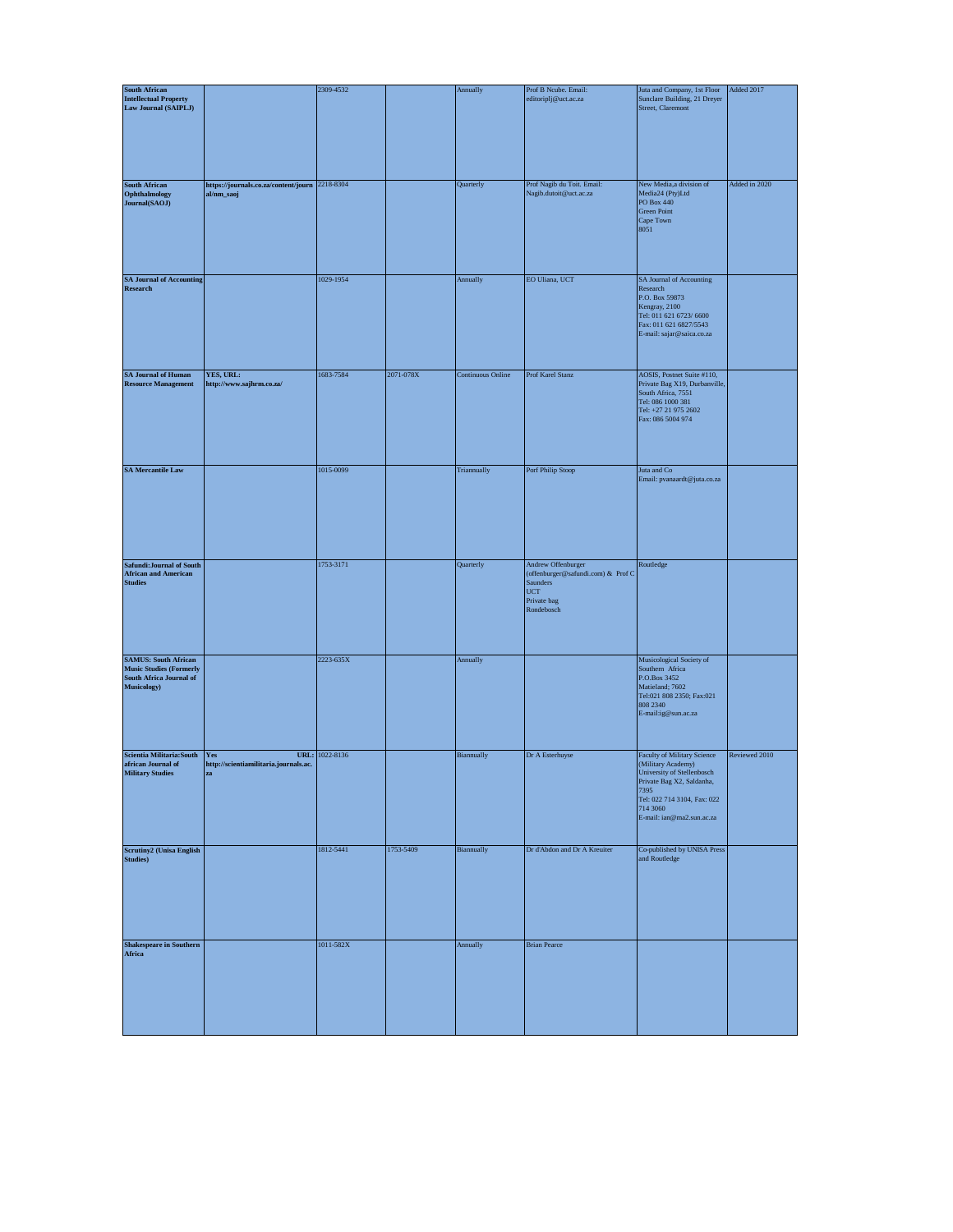| <b>South African</b>                                                                                    |                                                                          | 2309-4532 |           | Annually                 | Prof B Ncube. Email:                                                                                                     | Juta and Company, 1st Floor                                                                                                                                                                         | Added 2017    |
|---------------------------------------------------------------------------------------------------------|--------------------------------------------------------------------------|-----------|-----------|--------------------------|--------------------------------------------------------------------------------------------------------------------------|-----------------------------------------------------------------------------------------------------------------------------------------------------------------------------------------------------|---------------|
| <b>Intellectual Property</b><br>Law Journal (SAIPLJ)                                                    |                                                                          |           |           |                          | editoriplj@uct.ac.za                                                                                                     | Sunclare Building, 21 Dreyer<br>Street, Claremont                                                                                                                                                   |               |
| <b>South African</b><br>Ophthalmology<br>Journal(SAOJ)                                                  | https://journals.co.za/content/journ 2218-8304<br>al/nm_saoj             |           |           | Quarterly                | Prof Nagib du Toit. Email:<br>Nagib.dutoit@uct.ac.za                                                                     | New Media,a division of<br>Media24 (Pty)Ltd<br>PO Box 440<br><b>Green Point</b><br>Cape Town<br>8051                                                                                                | Added in 2020 |
| <b>SA Journal of Accounting</b><br>Research                                                             |                                                                          | 1029-1954 |           | Annually                 | EO Uliana, UCT                                                                                                           | SA Journal of Accounting<br>Research<br>P.O. Box 59873<br>Kengray, 2100<br>Tel: 011 621 6723/6600<br>Fax: 011 621 6827/5543<br>E-mail: sajar@saica.co.za                                            |               |
| <b>SA Journal of Human</b><br><b>Resource Management</b>                                                | YES, URL:<br>http://www.sajhrm.co.za/                                    | 1683-7584 | 2071-078X | <b>Continuous Online</b> | Prof Karel Stanz                                                                                                         | AOSIS, Postnet Suite #110,<br>Private Bag X19, Durbanville,<br>South Africa, 7551<br>Tel: 086 1000 381<br>Tel: +27 21 975 2602<br>Fax: 086 5004 974                                                 |               |
| <b>SA Mercantile Law</b>                                                                                |                                                                          | 1015-0099 |           | Triannually              | Porf Philip Stoop                                                                                                        | Juta and $\rm Co$<br>Email: pvanaardt@juta.co.za                                                                                                                                                    |               |
| Safundi: Journal of South<br><b>African and American</b><br><b>Studies</b>                              |                                                                          | 1753-3171 |           | Quarterly                | Andrew Offenburger<br>(offenburger@safundi.com) & Prof C<br><b>Saunders</b><br>$_{\rm UCT}$<br>Private bag<br>Rondebosch | Routledge                                                                                                                                                                                           |               |
| <b>SAMUS: South African</b><br><b>Music Studies (Formerly</b><br>South Africa Journal of<br>Musicology) |                                                                          | 2223-635X |           | Annually                 |                                                                                                                          | Musicological Society of<br>Southern Africa<br>P.O.Box 3452<br>Matieland; 7602<br>Tel:021 808 2350; Fax:021<br>808 2340<br>E-mail:ig@sun.ac.za                                                      |               |
| Scientia Militaria: South<br>african Journal of<br><b>Military Studies</b>                              | URL:<br>Yes<br>http://scientiamilitaria.journals.ac.<br>${\bf z}{\bf a}$ | 1022-8136 |           | Biannually               | Dr A Esterhuyse                                                                                                          | <b>Faculty of Military Science</b><br>(Military Academy)<br>University of Stellenbosch<br>Private Bag X2, Saldanha,<br>7395<br>Tel: 022 714 3104, Fax: 022<br>714 3060<br>E-mail: ian@ma2.sun.ac.za | Reviewed 2010 |
| <b>Scrutiny2</b> (Unisa English<br><b>Studies</b> )                                                     |                                                                          | 1812-5441 | 1753-5409 | Biannually               | Dr d'Abdon and Dr A Kreuiter                                                                                             | Co-published by UNISA Press<br>and Routledge                                                                                                                                                        |               |
| <b>Shakespeare in Southern</b><br>Africa                                                                |                                                                          | 1011-582X |           | Annually                 | <b>Brian Pearce</b>                                                                                                      |                                                                                                                                                                                                     |               |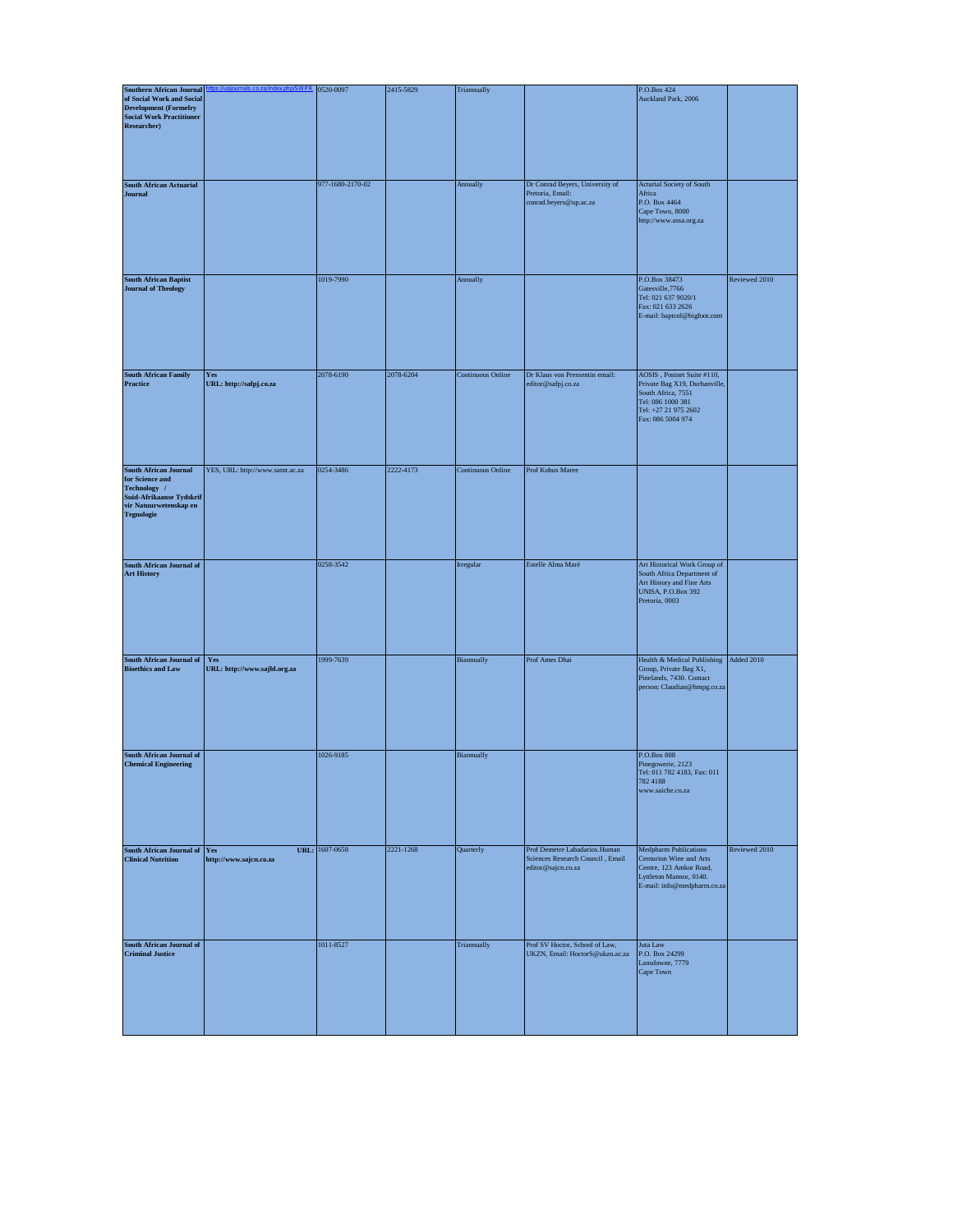| <b>Southern African Journal</b>                                                                                                            |                                     | 0520-0097        | 2415-5829 | Triannually              |                                                                                          | P.O.Box 424                                                                                                                                         |               |
|--------------------------------------------------------------------------------------------------------------------------------------------|-------------------------------------|------------------|-----------|--------------------------|------------------------------------------------------------------------------------------|-----------------------------------------------------------------------------------------------------------------------------------------------------|---------------|
| of Social Work and Social<br><b>Development (Formelry</b><br><b>Social Work Practitioner</b><br>Researcher)                                |                                     |                  |           |                          |                                                                                          | Auckland Park, 2006                                                                                                                                 |               |
| <b>South African Actuarial</b><br><b>Journal</b>                                                                                           |                                     | 977-1680-2170-02 |           | Annually                 | Dr Conrad Beyers, University of<br>Pretoria, Email:<br>conrad.beyers@up.ac.za            | Acturial Society of South<br>Africa<br>P.O. Box 4464<br>Cape Town, 8000<br>http://www.assa.org.za                                                   |               |
| <b>South African Baptist</b><br><b>Journal of Theology</b>                                                                                 |                                     | 1019-7990        |           | Annually                 |                                                                                          | P.O.Box 38473<br>Gatesville, 7766<br>Tel: 021 637 9020/1<br>Fax: 021 633 2626<br>E-mail: baptcol@bigfoot.com                                        | Reviewed 2010 |
| <b>South African Family</b><br>Practice                                                                                                    | Yes<br>URL: http://safpj.co.za      | 2078-6190        | 2078-6204 | <b>Continuous Online</b> | Dr Klaus von Pressentin email:<br>editor@safpj.co.za                                     | AOSIS, Postnet Suite #110,<br>Private Bag X19, Durbanville,<br>South Africa, 7551<br>Tel: 086 1000 381<br>Tel: +27 21 975 2602<br>Fax: 086 5004 974 |               |
| <b>South African Journal</b><br>for Science and<br>Technology /<br>Suid-Afrikaanse Tydskrif<br>vir Natuurwetenskap en<br><b>Tegnologie</b> | YES, URL: http://www.satnt.ac.za    | 0254-3486        | 2222-4173 | <b>Continuous Online</b> | Prof Kobus Maree                                                                         |                                                                                                                                                     |               |
| <b>South African Journal of</b><br><b>Art History</b>                                                                                      |                                     | 0258-3542        |           | Irregular                | Estelle Alma Maré                                                                        | Art Historical Work Group of<br>South Africa Department of<br>Art History and Fine Arts<br><b>UNISA, P.O.Box 392</b><br>Pretoria, 0003              |               |
| South African Journal of<br><b>Bioethics and Law</b>                                                                                       | Yes<br>URL: http://www.sajbl.org.za | 1999-7639        |           | Biannually               | Prof Ames Dhai                                                                           | Health & Medical Publishing<br>Group, Private Bag X1,<br>Pinelands, 7430. Contact<br>person: Claudian@hmpg.co.za                                    | Added 2010    |
| South African Journal of<br><b>Chemical Engineering</b>                                                                                    |                                     | 1026-9185        |           | Biannually               |                                                                                          | P.O.Box 808<br>Pinegowerie, 2123<br>Tel: 011 782 4183, Fax: 011<br>782 4188<br>www.saiche.co.za                                                     |               |
| South African Journal of<br><b>Clinical Nutrition</b>                                                                                      | Yes<br>http://www.sajcn.co.za       | URL: 1607-0658   | 2221-1268 | Quarterly                | Prof Demetre Labadarios. Human<br>Sciences Research Council, Email<br>editor@sajcn.co.za | <b>Medpharm Publications</b><br>Centurion Wine and Arts<br>Centre, 123 Amkor Road,<br>Lyttleton Mannor, 0140.<br>E-mail: info@medpharm.co.za        | Reviewed 2010 |
| <b>South African Journal of</b><br><b>Criminal Justice</b>                                                                                 |                                     | 1011-8527        |           | Triannually              | Prof SV Hoctor, School of Law,<br>UKZN, Email: HoctorS@ukzn.ac.za                        | Juta Law<br>P.O. Box 24299<br>Lansdowne, 7779<br>Cape Town                                                                                          |               |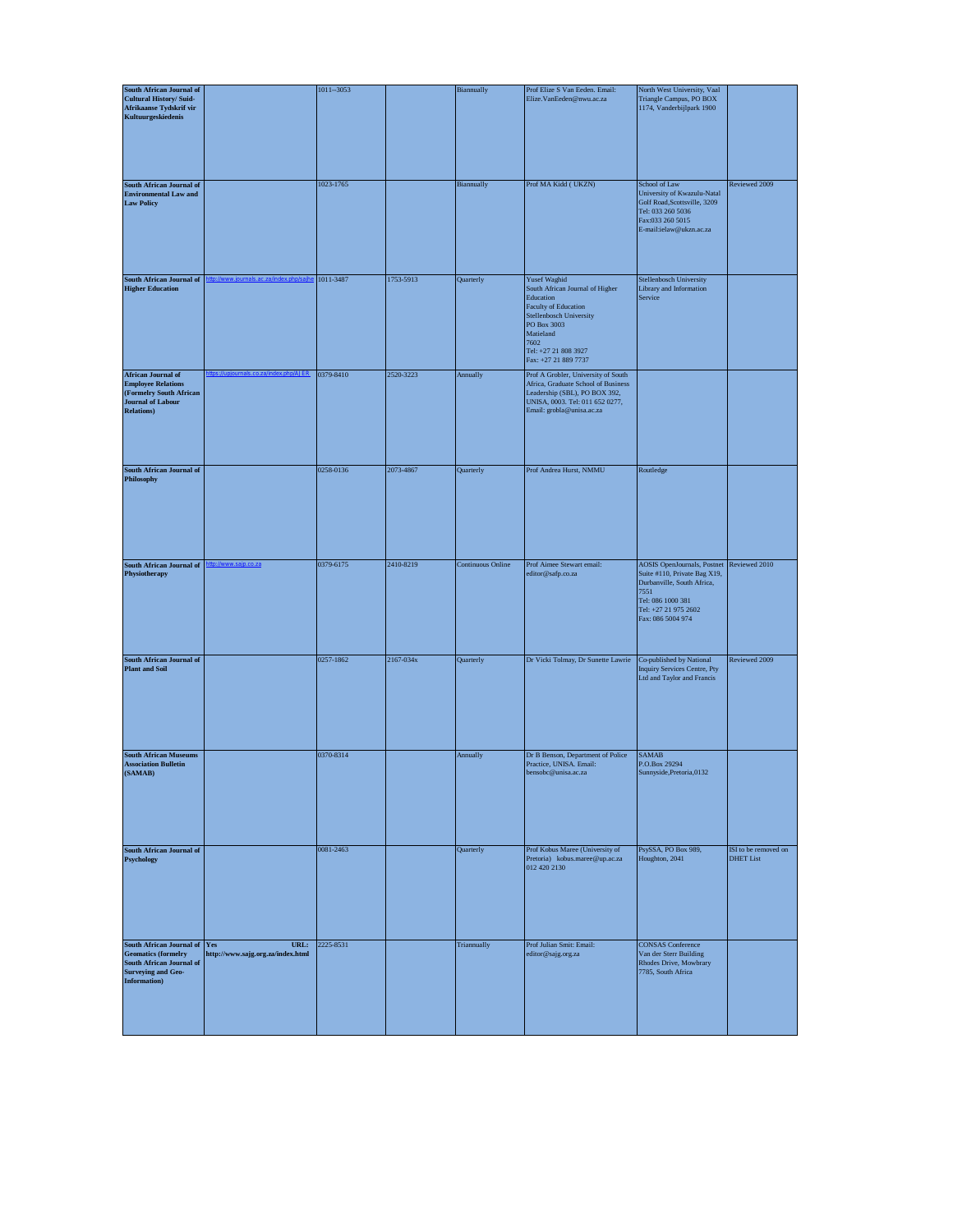| South African Journal of                                                                                                            | $1011 - 3053$          |           | Biannually               | Prof Elize S Van Eeden. Email:                                                                                                                                                                             | North West University, Vaal                                                                                                                                                       |                                          |
|-------------------------------------------------------------------------------------------------------------------------------------|------------------------|-----------|--------------------------|------------------------------------------------------------------------------------------------------------------------------------------------------------------------------------------------------------|-----------------------------------------------------------------------------------------------------------------------------------------------------------------------------------|------------------------------------------|
| <b>Cultural History/ Suid-</b><br>Afrikaanse Tydskrif vir<br>Kultuurgeskiedenis                                                     |                        |           |                          | Elize.VanEeden@nwu.ac.za                                                                                                                                                                                   | Triangle Campus, PO BOX<br>1174, Vanderbijlpark 1900                                                                                                                              |                                          |
| South African Journal of<br><b>Environmental Law and</b><br><b>Law Policy</b>                                                       | 1023-1765              |           | Biannually               | Prof MA Kidd (UKZN)                                                                                                                                                                                        | School of Law<br>University of Kwazulu-Natal<br>Golf Road, Scottsville, 3209<br>Tel: 033 260 5036<br>Fax:033 260 5015<br>E-mail:ielaw@ukzn.ac.za                                  | Reviewed 2009                            |
| <b>South African Journal of</b><br><b>Higher Education</b>                                                                          | 1011-3487              | 1753-5913 | Quarterly                | <b>Yusef Waghid</b><br>South African Journal of Higher<br>Education<br>Faculty of Education<br>Stellenbosch University<br>PO Box 3003<br>Matieland<br>7602<br>Tel: +27 21 808 3927<br>Fax: +27 21 889 7737 | Stellenbosch University<br>Library and Information<br>Service                                                                                                                     |                                          |
| <b>African Journal of</b><br><b>Employee Relations</b><br>(Formelry South African<br><b>Journal of Labour</b><br><b>Relations</b> ) | 0379-8410              | 2520-3223 | Annually                 | Prof A Grobler, University of South<br>Africa, Graduate School of Business<br>Leadership (SBL), PO BOX 392,<br>UNISA, 0003. Tel: 011 652 0277,<br>Email: grobla@unisa.ac.za                                |                                                                                                                                                                                   |                                          |
| <b>South African Journal of</b><br>Philosophy                                                                                       | 0258-0136              | 2073-4867 | Quarterly                | Prof Andrea Hurst, NMMU                                                                                                                                                                                    | Routledge                                                                                                                                                                         |                                          |
| South African Journal of<br>Physiotherapy                                                                                           | 0379-6175              | 2410-8219 | <b>Continuous Online</b> | Prof Aimee Stewart email:<br>editor@safp.co.za                                                                                                                                                             | AOSIS OpenJournals, Postnet Reviewed 2010<br>Suite #110, Private Bag X19,<br>Durbanville, South Africa,<br>7551<br>Tel: 086 1000 381<br>Tel: +27 21 975 2602<br>Fax: 086 5004 974 |                                          |
| South African Journal of<br><b>Plant and Soil</b>                                                                                   | 0257-1862              | 2167-034x | Quarterly                | Dr Vicki Tolmay, Dr Sunette Lawrie                                                                                                                                                                         | Co-published by National<br>Inquiry Services Centre, Pty                                                                                                                          | Reviewed 2009                            |
|                                                                                                                                     |                        |           |                          |                                                                                                                                                                                                            | Ltd and Taylor and Francis                                                                                                                                                        |                                          |
| <b>South African Museums</b><br><b>Association Bulletin</b><br>(SAMAB)                                                              | 0370-8314              |           | Annually                 | Dr B Benson, Department of Police<br>Practice, UNISA, Email:<br>bensobc@unisa.ac.za                                                                                                                        | <b>SAMAB</b><br>P.O.Box 29294<br>Sunnyside, Pretoria, 0132                                                                                                                        |                                          |
| South African Journal of<br><b>Psychology</b>                                                                                       | 0081-2463<br>2225-8531 |           | Quarterly<br>Triannually | Prof Kobus Maree (University of<br>Pretoria) kobus.maree@up.ac.za<br>012 420 2130                                                                                                                          | PsySSA, PO Box 989,<br>Houghton, 2041<br><b>CONSAS</b> Conference                                                                                                                 | ISI to be removed on<br><b>DHET List</b> |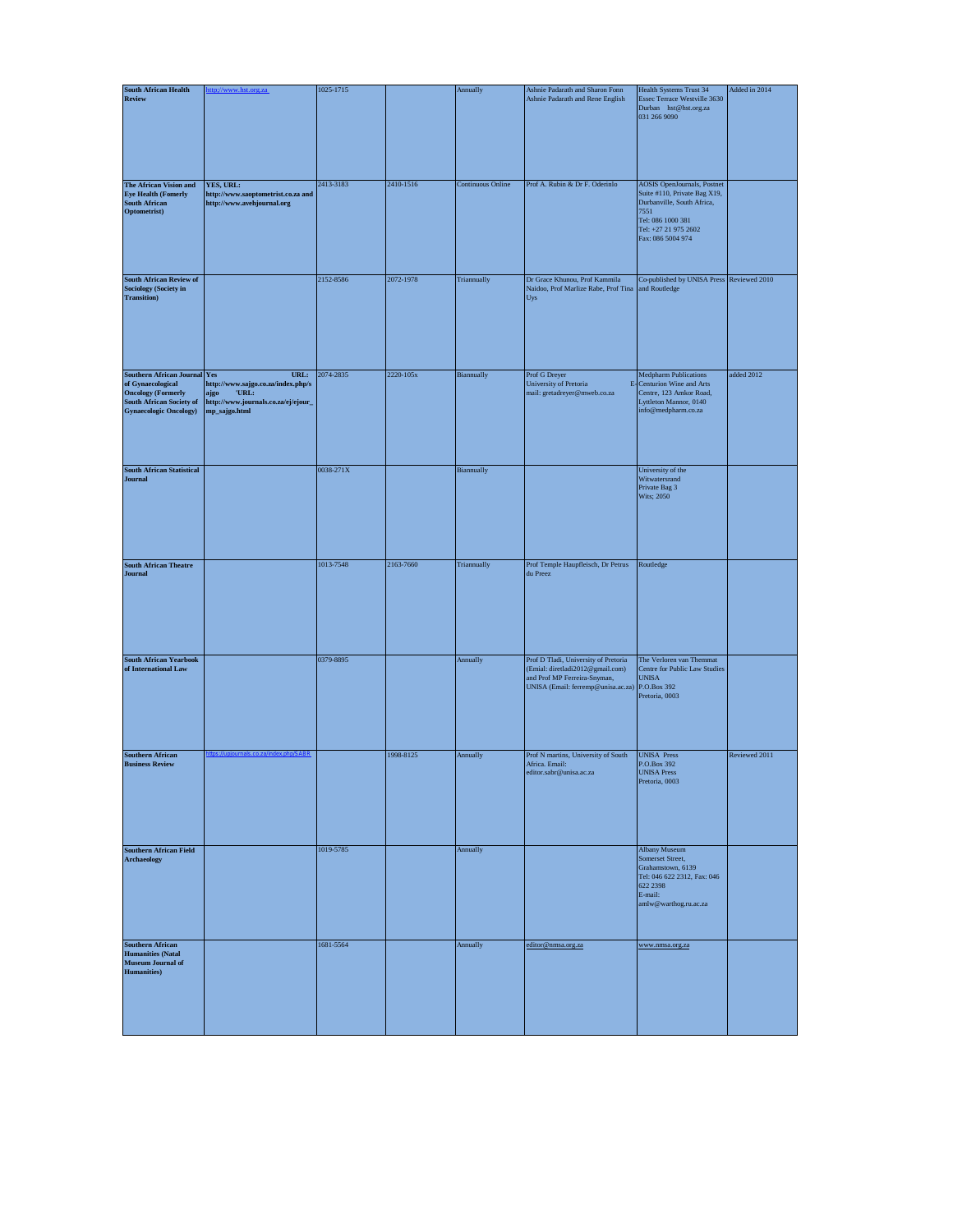| <b>South African Health</b>                                                                                                                         |                                                                                                                     | 1025-1715 |           | Annually                 | Ashnie Padarath and Sharon Fonn                                                                                                                | Health Systems Trust 34                                                                                                                                                    | Added in 2014 |
|-----------------------------------------------------------------------------------------------------------------------------------------------------|---------------------------------------------------------------------------------------------------------------------|-----------|-----------|--------------------------|------------------------------------------------------------------------------------------------------------------------------------------------|----------------------------------------------------------------------------------------------------------------------------------------------------------------------------|---------------|
| Review                                                                                                                                              |                                                                                                                     |           |           |                          | Ashnie Padarath and Rene English                                                                                                               | Essec Terrace Westville 3630<br>Durban hst@hst.org.za<br>031 266 9090                                                                                                      |               |
| The African Vision and<br><b>Eye Health (Fomerly</b><br>${\bf South\, African}$<br>Optometrist)                                                     | YES, URL:<br>http://www.saoptometrist.co.za and<br>http://www.avehjournal.org                                       | 2413-3183 | 2410-1516 | <b>Continuous Online</b> | Prof A. Rubin & Dr F. Oderinlo                                                                                                                 | <b>AOSIS</b> OpenJournals, Postnet<br>Suite #110, Private Bag X19,<br>Durbanville, South Africa,<br>7551<br>Tel: 086 1000 381<br>Tel: +27 21 975 2602<br>Fax: 086 5004 974 |               |
| <b>South African Review of</b><br><b>Sociology (Society in</b><br><b>Transition</b> )                                                               |                                                                                                                     | 2152-8586 | 2072-1978 | Triannually              | Dr Grace Khunou, Prof Kammila<br>Naidoo, Prof Marlize Rabe, Prof Tina and Routledge<br>Uys                                                     | Co-published by UNISA Press Reviewed 2010                                                                                                                                  |               |
| <b>Southern African Journal Yes</b><br>of Gynaecological<br><b>Oncology (Formerly</b><br>South African Society of<br><b>Gynaecologic Oncology</b> ) | URL:<br>http://www.sajgo.co.za/index.php/s<br>'URL:<br>ajgo<br>http://www.journals.co.za/ej/ejour_<br>mp_sajgo.html | 2074-2835 | 2220-105x | Biannually               | Prof G Dreyer<br>University of Pretoria<br>mail: gretadreyer@mweb.co.za                                                                        | <b>Medpharm Publications</b><br>E-Centurion Wine and Arts<br>Centre, 123 Amkor Road,<br>Lyttleton Mannor, 0140<br>info@medpharm.co.za                                      | added 2012    |
| <b>South African Statistical</b><br><b>Journal</b>                                                                                                  |                                                                                                                     | 0038-271X |           | Biannually               |                                                                                                                                                | University of the<br>Witwatersrand<br>Private Bag 3<br>Wits: 2050                                                                                                          |               |
| <b>South African Theatre</b><br>Journal                                                                                                             |                                                                                                                     | 1013-7548 | 2163-7660 | Triannually              | Prof Temple Haupfleisch, Dr Petrus<br>du Preez                                                                                                 | Routledge                                                                                                                                                                  |               |
| <b>South African Yearbook</b><br>of International Law                                                                                               |                                                                                                                     | 0379-8895 |           | Annually                 | Prof D Tladi, University of Pretoria<br>(Emial: diretladi2012@gmail.com)<br>and Prof MP Ferreira-Snyman,<br>UNISA (Email: ferremp@unisa.ac.za) | The Verloren van Themmat<br>Centre for Public Law Studies<br><b>UNISA</b><br>P.O.Box 392<br>Pretoria, 0003                                                                 |               |
| <b>Southern African</b><br><b>Business Review</b>                                                                                                   |                                                                                                                     |           | 1998-8125 | Annually                 | Prof N martins, University of South<br>Africa. Email:<br>editor.sabr@unisa.ac.za                                                               | <b>UNISA</b> Press<br>P.O.Box 392<br><b>UNISA Press</b><br>Pretoria, 0003                                                                                                  | Reviewed 2011 |
| <b>Southern African Field</b><br><b>Archaeology</b>                                                                                                 |                                                                                                                     | 1019-5785 |           | Annually                 |                                                                                                                                                | Albany Museum<br>Somerset Street,<br>Grahamstown, 6139<br>Tel: 046 622 2312, Fax: 046<br>622 2398<br>E-mail:<br>amlw@warthog.ru.ac.za                                      |               |
| <b>Southern African</b><br><b>Humanities</b> (Natal<br><b>Museum Journal of</b><br><b>Humanities</b> )                                              |                                                                                                                     | 1681-5564 |           | Annually                 | editor@nmsa.org.za                                                                                                                             | www.nmsa.org.za                                                                                                                                                            |               |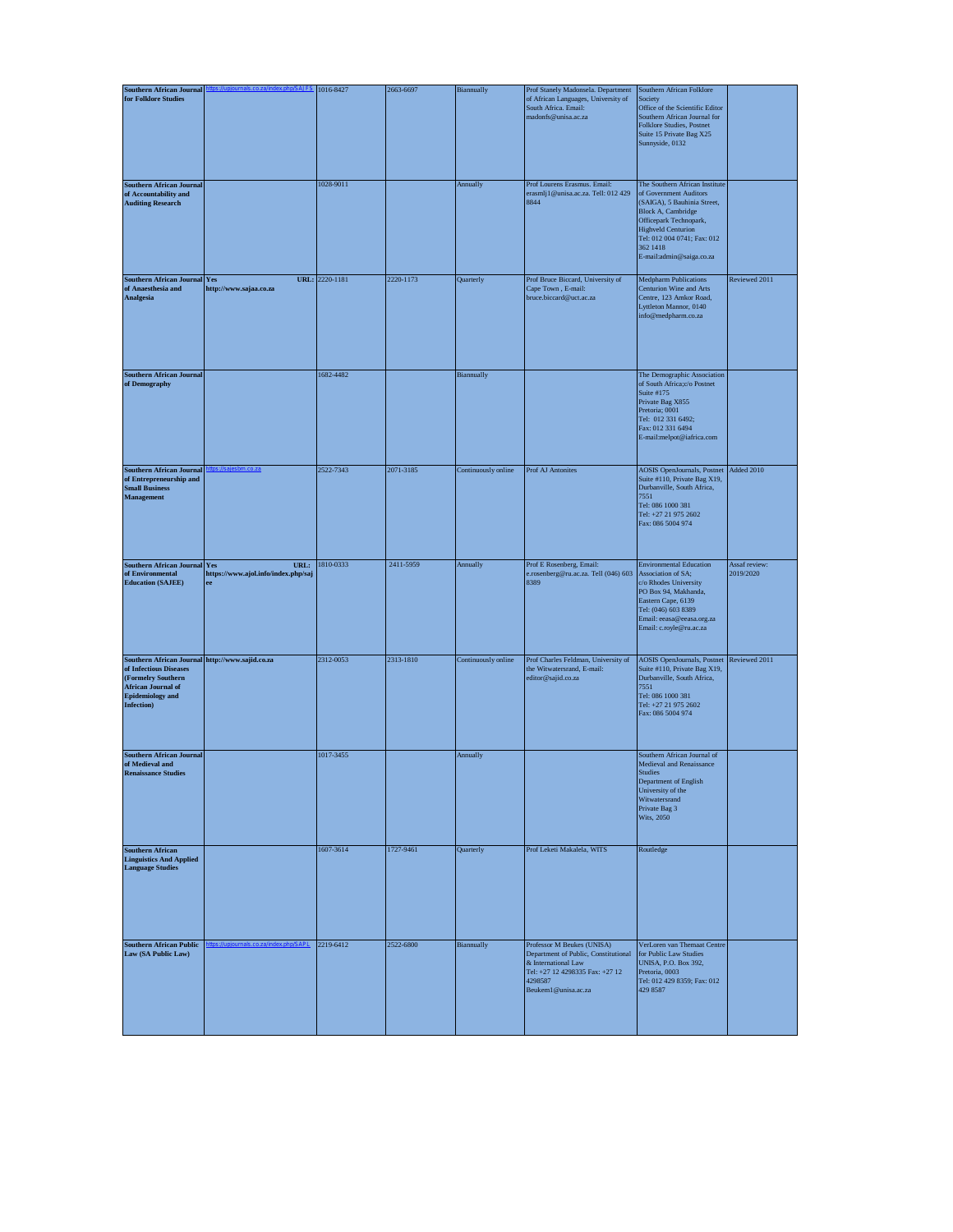| <b>Southern African Journal</b>                                                                                                                                       |                                                   | 1016-8427      | 2663-6697 | Biannually          | Prof Stanely Madonsela. Department                                                                                                                             | Southern African Folklore                                                                                                                                                                                                                   |                            |
|-----------------------------------------------------------------------------------------------------------------------------------------------------------------------|---------------------------------------------------|----------------|-----------|---------------------|----------------------------------------------------------------------------------------------------------------------------------------------------------------|---------------------------------------------------------------------------------------------------------------------------------------------------------------------------------------------------------------------------------------------|----------------------------|
| for Folklore Studies                                                                                                                                                  |                                                   |                |           |                     | of African Languages, University of<br>South Africa, Email:<br>madonfs@unisa.ac.za                                                                             | Society<br>Office of the Scientific Editor<br>Southern African Journal for<br>Folklore Studies, Postnet<br>Suite 15 Private Bag X25<br>Sunnyside, 0132                                                                                      |                            |
| <b>Southern African Journal</b><br>of Accountability and<br><b>Auditing Research</b>                                                                                  |                                                   | 1028-9011      |           | Annually            | Prof Lourens Erasmus. Email:<br>erasmlj1@unisa.ac.za. Tell: 012 429<br>8844                                                                                    | The Southern African Institute<br>of Government Auditors<br>(SAIGA), 5 Bauhinia Street,<br>Block A, Cambridge<br>Officepark Technopark,<br><b>Highveld Centurion</b><br>Tel: 012 004 0741; Fax: 012<br>362 1418<br>E-mail:admin@saiga.co.za |                            |
| <b>Southern African Journal Yes</b><br>of Anaesthesia and<br>Analgesia                                                                                                | http://www.sajaa.co.za                            | URL: 2220-1181 | 2220-1173 | Quarterly           | Prof Bruce Biccard, University of<br>Cape Town, E-mail:<br>bruce.biccard@uct.ac.za                                                                             | <b>Medpharm Publications</b><br>Centurion Wine and Arts<br>Centre, 123 Amkor Road,<br>Lyttleton Mannor, 0140<br>info@medpharm.co.za                                                                                                         | Reviewed 2011              |
| <b>Southern African Journal</b><br>of Demography                                                                                                                      |                                                   | 1682-4482      |           | Biannually          |                                                                                                                                                                | The Demographic Association<br>of South Africa;c/o Postnet<br>Suite #175<br>Private Bag X855<br>Pretoria; 0001<br>Tel: 012 331 6492;<br>Fax: 012 331 6494<br>E-mail:melpot@iafrica.com                                                      |                            |
| <b>Southern African Journal</b><br>of Entrepreneurship and<br><b>Small Business</b><br>Management                                                                     |                                                   | 2522-7343      | 2071-3185 | Continuously online | Prof AJ Antonites                                                                                                                                              | <b>AOSIS</b> OpenJournals, Postnet<br>Suite #110, Private Bag X19,<br>Durbanville, South Africa,<br>7551<br>Tel: 086 1000 381<br>Tel: +27 21 975 2602<br>Fax: 086 5004 974                                                                  | Added 2010                 |
| <b>Southern African Journal Yes</b><br>of Environmental<br><b>Education (SAJEE)</b>                                                                                   | URL:<br>https://www.ajol.info/index.php/saj<br>ee | 1810-0333      | 2411-5959 | Annually            | Prof E Rosenberg, Email:<br>e.rosenberg@ru.ac.za. Tell (046) 603<br>8389                                                                                       | <b>Environmental Education</b><br>Association of SA;<br>c/o Rhodes University<br>PO Box 94, Makhanda,<br>Eastern Cape, 6139<br>Tel: (046) 603 8389<br>Email: eeasa@eeasa.org.za<br>Email: c.royle@ru.ac.za                                  | Assaf review:<br>2019/2020 |
| Southern African Journal http://www.sajid.co.za<br>of Infectious Diseases<br>(Formelry Southern<br><b>African Journal of</b><br><b>Epidemiology</b> and<br>Infection) |                                                   | 2312-0053      | 2313-1810 | Continuously online | Prof Charles Feldman, University of<br>the Witwatersrand, E-mail:<br>editor@sajid.co.za                                                                        | <b>AOSIS</b> OpenJournals, Postnet<br>Suite #110, Private Bag X19,<br>Durbanville, South Africa,<br>7551<br>Tel: 086 1000 381<br>Tel: +27 21 975 2602<br>Fax: 086 5004 974                                                                  | Reviewed 2011              |
| <b>Southern African Journal</b><br>of Medieval and<br><b>Renaissance Studies</b>                                                                                      |                                                   | 1017-3455      |           | Annually            |                                                                                                                                                                | Southern African Journal of<br>Medieval and Renaissance<br><b>Studies</b><br>Department of English<br>University of the<br>Witwatersrand<br>Private Bag 3<br>Wits, 2050                                                                     |                            |
| <b>Southern African</b><br><b>Linguistics And Applied</b><br><b>Language Studies</b>                                                                                  |                                                   | 1607-3614      | 1727-9461 | Quarterly           | Prof Leketi Makalela, WITS                                                                                                                                     | Routledge                                                                                                                                                                                                                                   |                            |
| <b>Southern African Public</b><br>Law (SA Public Law)                                                                                                                 |                                                   | 2219-6412      | 2522-6800 | Biannually          | Professor M Beukes (UNISA)<br>Department of Public, Constitutional<br>& International Law<br>Tel: +27 12 4298335 Fax: +27 12<br>4298587<br>Beukem1@unisa.ac.za | VerLoren van Themaat Centre<br>for Public Law Studies<br>UNISA, P.O. Box 392,<br>Pretoria, 0003<br>Tel: 012 429 8359; Fax: 012<br>429 8587                                                                                                  |                            |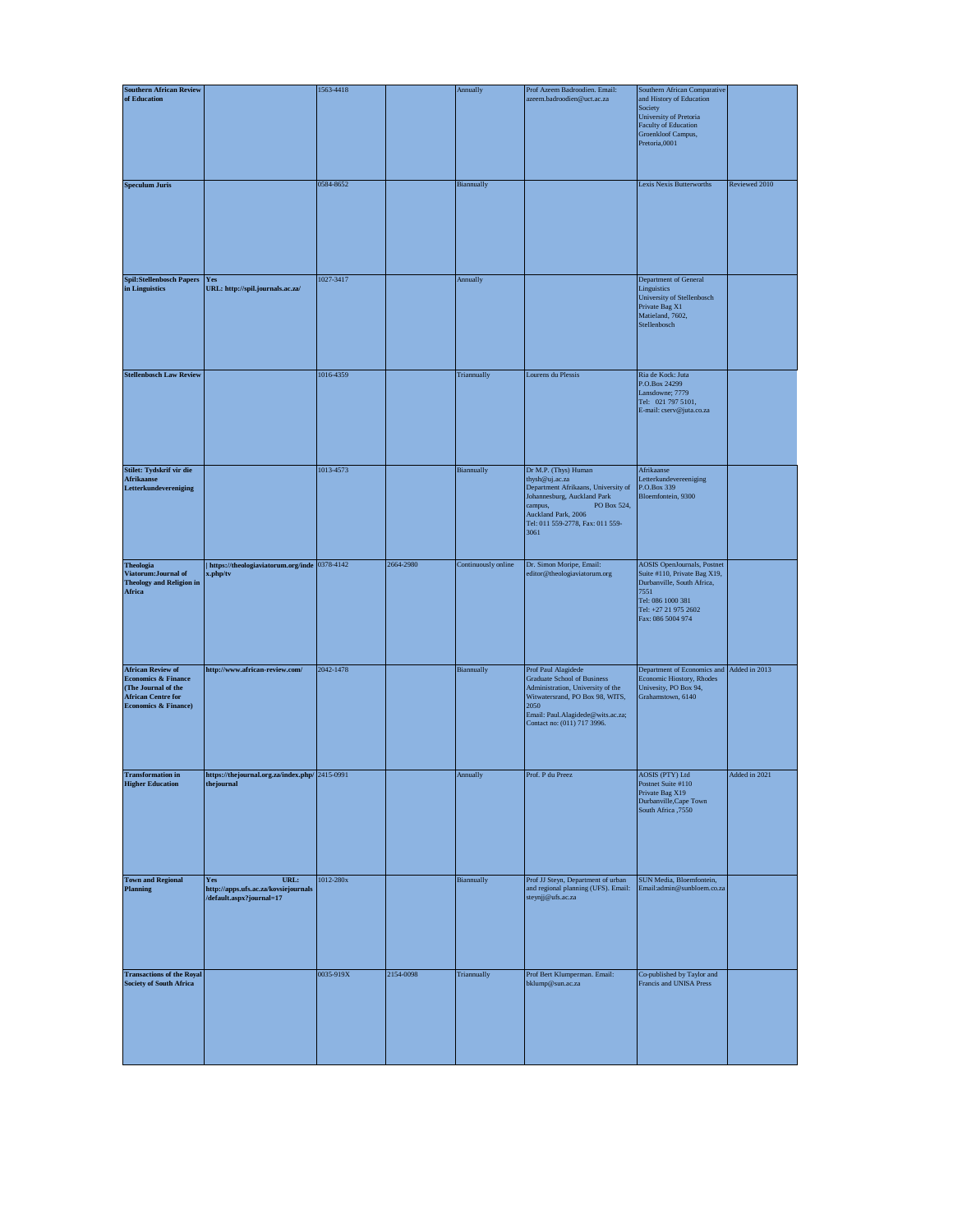| <b>Southern African Review</b>                                                                                                         |                                                                                 | 1563-4418 |           | Annually            | Prof Azeem Badroodien. Email:                                                                                                                                                                                 | Southern African Comparative                                                                                                                                               |               |
|----------------------------------------------------------------------------------------------------------------------------------------|---------------------------------------------------------------------------------|-----------|-----------|---------------------|---------------------------------------------------------------------------------------------------------------------------------------------------------------------------------------------------------------|----------------------------------------------------------------------------------------------------------------------------------------------------------------------------|---------------|
| of Education                                                                                                                           |                                                                                 |           |           |                     | azeem.badroodien@uct.ac.za                                                                                                                                                                                    | and History of Education<br>Society<br>University of Pretoria<br>Faculty of Education<br>Groenkloof Campus,<br>Pretoria,0001                                               |               |
| <b>Speculum Juris</b>                                                                                                                  |                                                                                 | 0584-8652 |           | Biannually          |                                                                                                                                                                                                               | Lexis Nexis Butterworths                                                                                                                                                   | Reviewed 2010 |
| <b>Spil:Stellenbosch Papers</b><br>in Linguistics                                                                                      | Yes<br>URL: http://spil.journals.ac.za/                                         | 1027-3417 |           | Annually            |                                                                                                                                                                                                               | Department of General<br>Linguistics<br>University of Stellenbosch<br>Private Bag X1<br>Matieland, 7602,<br>Stellenbosch                                                   |               |
| <b>Stellenbosch Law Review</b>                                                                                                         |                                                                                 | 1016-4359 |           | Triannually         | Lourens du Plessis                                                                                                                                                                                            | Ria de Kock: Juta<br>P.O.Box 24299<br>Lansdowne; 7779<br>Tel: 021 797 5101,<br>E-mail: cserv@juta.co.za                                                                    |               |
| Stilet: Tydskrif vir die<br>Afrikaanse<br>Letterkundevereniging                                                                        |                                                                                 | 1013-4573 |           | Biannually          | Dr M.P. (Thys) Human<br>thysh@uj.ac.za<br>Department Afrikaans, University of<br>Johannesburg, Auckland Park<br>campus,<br>PO Box 524,<br>Auckland Park, 2006<br>Tel: 011 559-2778, Fax: 011 559-<br>3061     | Afrikaanse<br>Letterkundevereeniging<br>P.O.Box 339<br>Bloemfontein, 9300                                                                                                  |               |
| <b>Theologia</b><br>Viatorum: Journal of<br><b>Theology and Religion in</b><br>Africa                                                  | https://theologiaviatorum.org/inde 0378-4142<br>x.php/tv                        |           | 2664-2980 | Continuously online | Dr. Simon Moripe, Email:<br>editor@theologiaviatorum.org                                                                                                                                                      | <b>AOSIS</b> OpenJournals, Postnet<br>Suite #110, Private Bag X19,<br>Durbanville, South Africa,<br>7551<br>Tel: 086 1000 381<br>Tel: +27 21 975 2602<br>Fax: 086 5004 974 |               |
| <b>African Review of</b><br><b>Economics &amp; Finance</b><br>(The Journal of the<br><b>African Centre for</b><br>Economics & Finance) | http://www.african-review.com/                                                  | 2042-1478 |           | Biannually          | Prof Paul Alagidede<br><b>Graduate School of Business</b><br>Administration, University of the<br>Witwatersrand, PO Box 98, WITS,<br>2050<br>Email: Paul.Alagidede@wits.ac.za;<br>Contact no: (011) 717 3996. | Department of Economics and Added in 2013<br>Economic Hiostory, Rhodes<br>Univesity, PO Box 94,<br>Grahamstown, 6140                                                       |               |
| <b>Transformation</b> in<br><b>Higher Education</b>                                                                                    | https://thejournal.org.za/index.php/ 2415-0991<br>thejournal                    |           |           | Annually            | Prof. P du Preez                                                                                                                                                                                              | AOSIS (PTY) Ltd<br>Postnet Suite #110<br>Private Bag X19<br>Durbanville, Cape Town<br>South Africa ,7550                                                                   | Added in 2021 |
| <b>Town and Regional</b><br><b>Planning</b>                                                                                            | URL:<br>Yes<br>http://apps.ufs.ac.za/kovsiejournals<br>/default.aspx?journal=17 | 1012-280x |           | Biannually          | Prof JJ Steyn, Department of urban<br>and regional planning (UFS). Email:<br>steynjj@ufs.ac.za                                                                                                                | SUN Media, Bloemfontein,<br>Email:admin@sunbloem.co.za                                                                                                                     |               |
| <b>Transactions of the Royal</b><br><b>Society of South Africa</b>                                                                     |                                                                                 | 0035-919X | 2154-0098 | Triannually         | Prof Bert Klumperman. Email:<br>bklump@sun.ac.za                                                                                                                                                              | Co-published by Taylor and<br>Francis and UNISA Press                                                                                                                      |               |